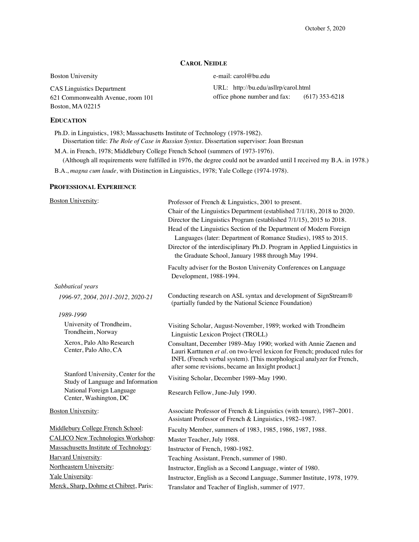## **CAROL NEIDLE**

URL: http://bu.edu/asllrp/carol.html

office phone number and fax: (617) 353-6218

Boston University e-mail: carol@bu.edu

CAS Linguistics Department 621 Commonwealth Avenue, room 101 Boston, MA 02215

# **EDUCATION**

Ph.D. in Linguistics, 1983; Massachusetts Institute of Technology (1978-1982). Dissertation title: *The Role of Case in Russian Syntax.* Dissertation supervisor: Joan Bresnan

M.A. in French, 1978; Middlebury College French School (summers of 1973-1976). (Although all requirements were fulfilled in 1976, the degree could not be awarded until I received my B.A. in 1978.)

B.A., *magna cum laude,* with Distinction in Linguistics, 1978; Yale College (1974-1978).

### **PROFESSIONAL EXPERIENCE**

| <b>Boston University:</b>                                                | Professor of French & Linguistics, 2001 to present.<br>Chair of the Linguistics Department (established 7/1/18), 2018 to 2020.<br>Director the Linguistics Program (established 7/1/15), 2015 to 2018.<br>Head of the Linguistics Section of the Department of Modern Foreign<br>Languages (later: Department of Romance Studies), 1985 to 2015.<br>Director of the interdisciplinary Ph.D. Program in Applied Linguistics in<br>the Graduate School, January 1988 through May 1994. |
|--------------------------------------------------------------------------|--------------------------------------------------------------------------------------------------------------------------------------------------------------------------------------------------------------------------------------------------------------------------------------------------------------------------------------------------------------------------------------------------------------------------------------------------------------------------------------|
|                                                                          | Faculty adviser for the Boston University Conferences on Language<br>Development, 1988-1994.                                                                                                                                                                                                                                                                                                                                                                                         |
| Sabbatical years                                                         |                                                                                                                                                                                                                                                                                                                                                                                                                                                                                      |
| 1996-97, 2004, 2011-2012, 2020-21                                        | Conducting research on ASL syntax and development of SignStream®<br>(partially funded by the National Science Foundation)                                                                                                                                                                                                                                                                                                                                                            |
| 1989-1990                                                                |                                                                                                                                                                                                                                                                                                                                                                                                                                                                                      |
| University of Trondheim,<br>Trondheim, Norway                            | Visiting Scholar, August-November, 1989; worked with Trondheim<br>Linguistic Lexicon Project (TROLL)                                                                                                                                                                                                                                                                                                                                                                                 |
| Xerox, Palo Alto Research<br>Center, Palo Alto, CA                       | Consultant, December 1989-May 1990; worked with Annie Zaenen and<br>Lauri Karttunen et al. on two-level lexicon for French; produced rules for<br>INFL (French verbal system). [This morphological analyzer for French,<br>after some revisions, became an Inxight product.]                                                                                                                                                                                                         |
| Stanford University, Center for the<br>Study of Language and Information | Visiting Scholar, December 1989-May 1990.                                                                                                                                                                                                                                                                                                                                                                                                                                            |
| National Foreign Language<br>Center, Washington, DC                      | Research Fellow, June-July 1990.                                                                                                                                                                                                                                                                                                                                                                                                                                                     |
| <b>Boston University:</b>                                                | Associate Professor of French & Linguistics (with tenure), 1987-2001.<br>Assistant Professor of French & Linguistics, 1982-1987.                                                                                                                                                                                                                                                                                                                                                     |
| Middlebury College French School:                                        | Faculty Member, summers of 1983, 1985, 1986, 1987, 1988.                                                                                                                                                                                                                                                                                                                                                                                                                             |
| <b>CALICO New Technologies Workshop:</b>                                 | Master Teacher, July 1988.                                                                                                                                                                                                                                                                                                                                                                                                                                                           |
| Massachusetts Institute of Technology:                                   | Instructor of French, 1980-1982.                                                                                                                                                                                                                                                                                                                                                                                                                                                     |
| Harvard University:                                                      | Teaching Assistant, French, summer of 1980.                                                                                                                                                                                                                                                                                                                                                                                                                                          |
| Northeastern University:                                                 | Instructor, English as a Second Language, winter of 1980.                                                                                                                                                                                                                                                                                                                                                                                                                            |
| Yale University:                                                         | Instructor, English as a Second Language, Summer Institute, 1978, 1979.                                                                                                                                                                                                                                                                                                                                                                                                              |
| Merck, Sharp, Dohme et Chibret, Paris:                                   | Translator and Teacher of English, summer of 1977.                                                                                                                                                                                                                                                                                                                                                                                                                                   |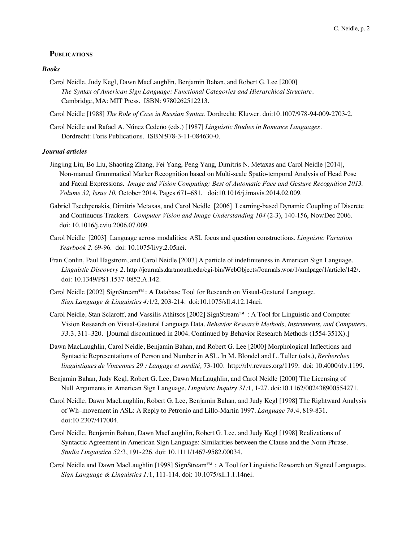## **PUBLICATIONS**

## *Books*

Carol Neidle, Judy Kegl, Dawn MacLaughlin, Benjamin Bahan, and Robert G. Lee [2000] *The Syntax of American Sign Language: Functional Categories and Hierarchical Structure.*  Cambridge, MA: MIT Press. ISBN: 9780262512213.

Carol Neidle [1988] *The Role of Case in Russian Syntax.* Dordrecht: Kluwer. doi:10.1007/978-94-009-2703-2.

Carol Neidle and Rafael A. Núnez Cedeño (eds.) [1987] *Linguistic Studies in Romance Languages.* Dordrecht: Foris Publications. ISBN:978-3-11-084630-0.

### *Journal articles*

- Jingjing Liu, Bo Liu, Shaoting Zhang, Fei Yang, Peng Yang, Dimitris N. Metaxas and Carol Neidle [2014], Non-manual Grammatical Marker Recognition based on Multi-scale Spatio-temporal Analysis of Head Pose and Facial Expressions. *Image and Vision Computing: Best of Automatic Face and Gesture Recognition 2013. Volume 32, Issue 10*, October 2014, Pages 671–681. doi:10.1016/j.imavis.2014.02.009.
- Gabriel Tsechpenakis, Dimitris Metaxas, and Carol Neidle [2006] Learning-based Dynamic Coupling of Discrete and Continuous Trackers. *Computer Vision and Image Understanding 104* (2-3), 140-156, Nov/Dec 2006. doi: 10.1016/j.cviu.2006.07.009.
- Carol Neidle [2003] Language across modalities: ASL focus and question constructions. *Linguistic Variation Yearbook 2,* 69-96. doi: 10.1075/livy.2.05nei.
- Fran Conlin, Paul Hagstrom, and Carol Neidle [2003] A particle of indefiniteness in American Sign Language. *Linguistic Discovery 2*. http://journals.dartmouth.edu/cgi-bin/WebObjects/Journals.woa/1/xmlpage/1/article/142/. doi: 10.1349/PS1.1537-0852.A.142.
- Carol Neidle [2002] SignStream™: A Database Tool for Research on Visual-Gestural Language. *Sign Language & Linguistics 4:*1/2, 203-214. doi:10.1075/sll.4.12.14nei.
- Carol Neidle, Stan Sclaroff, and Vassilis Athitsos [2002] SignStream™ : A Tool for Linguistic and Computer Vision Research on Visual-Gestural Language Data. *Behavior Research Methods, Instruments, and Computers. 33:*3, 311–320. [Journal discontinued in 2004. Continued by Behavior Research Methods (1554-351X).]
- Dawn MacLaughlin, Carol Neidle, Benjamin Bahan, and Robert G. Lee [2000] Morphological Inflections and Syntactic Representations of Person and Number in ASL. In M. Blondel and L. Tuller (eds.), *Recherches linguistiques de Vincennes 29 : Langage et surdité,* 73-100. http://rlv.revues.org/1199. doi: 10.4000/rlv.1199.
- Benjamin Bahan, Judy Kegl, Robert G. Lee, Dawn MacLaughlin, and Carol Neidle [2000] The Licensing of Null Arguments in American Sign Language. *Linguistic Inquiry 31:*1, 1-27. doi:10.1162/002438900554271.
- Carol Neidle, Dawn MacLaughlin, Robert G. Lee, Benjamin Bahan, and Judy Kegl [1998] The Rightward Analysis of Wh–movement in ASL: A Reply to Petronio and Lillo-Martin 1997. *Language 74:*4, 819-831. doi:10.2307/417004.
- Carol Neidle, Benjamin Bahan, Dawn MacLaughlin, Robert G. Lee, and Judy Kegl [1998] Realizations of Syntactic Agreement in American Sign Language: Similarities between the Clause and the Noun Phrase. *Studia Linguistica 52:*3, 191-226. doi: 10.1111/1467-9582.00034.
- Carol Neidle and Dawn MacLaughlin [1998] SignStream™ : A Tool for Linguistic Research on Signed Languages. *Sign Language & Linguistics 1:*1, 111-114. doi: 10.1075/sll.1.1.14nei.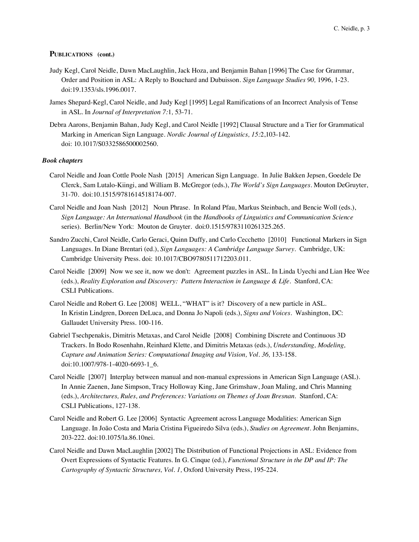- Judy Kegl, Carol Neidle, Dawn MacLaughlin, Jack Hoza, and Benjamin Bahan [1996] The Case for Grammar, Order and Position in ASL: A Reply to Bouchard and Dubuisson. *Sign Language Studies 90,* 1996, 1-23. doi:19.1353/sls.1996.0017.
- James Shepard-Kegl, Carol Neidle, and Judy Kegl [1995] Legal Ramifications of an Incorrect Analysis of Tense in ASL. In *Journal of Interpretation 7:*1*,* 53-71.
- Debra Aarons, Benjamin Bahan, Judy Kegl, and Carol Neidle [1992] Clausal Structure and a Tier for Grammatical Marking in American Sign Language. *Nordic Journal of Linguistics, 15:*2,103-142. doi: 10.1017/S0332586500002560.

### *Book chapters*

- Carol Neidle and Joan Cottle Poole Nash [2015] American Sign Language. In Julie Bakken Jepsen, Goedele De Clerck, Sam Lutalo-Kiingi, and William B. McGregor (eds.), *The World's Sign Languages.* Mouton DeGruyter, 31-70. doi:10.1515/9781614518174-007.
- Carol Neidle and Joan Nash [2012] Noun Phrase. In Roland Pfau, Markus Steinbach, and Bencie Woll (eds.), *Sign Language: An International Handbook* (in the *Handbooks of Linguistics and Communication Science* series). Berlin/New York: Mouton de Gruyter. doi:0.1515/9783110261325.265.
- Sandro Zucchi, Carol Neidle, Carlo Geraci, Quinn Duffy, and Carlo Cecchetto [2010] Functional Markers in Sign Languages. In Diane Brentari (ed.), *Sign Languages: A Cambridge Language Survey*. Cambridge, UK: Cambridge University Press. doi: 10.1017/CBO9780511712203.011.
- Carol Neidle [2009] Now we see it, now we don't: Agreement puzzles in ASL. In Linda Uyechi and Lian Hee Wee (eds.), *Reality Exploration and Discovery: Pattern Interaction in Language & Life. Stanford, CA*: CSLI Publications.
- Carol Neidle and Robert G. Lee [2008] WELL, "WHAT" is it? Discovery of a new particle in ASL. In Kristin Lindgren, Doreen DeLuca, and Donna Jo Napoli (eds.), *Signs and Voices*. Washington, DC: Gallaudet University Press. 100-116.
- Gabriel Tsechpenakis, Dimitris Metaxas, and Carol Neidle [2008] Combining Discrete and Continuous 3D Trackers. In Bodo Rosenhahn, Reinhard Klette, and Dimitris Metaxas (eds.), *Understanding, Modeling, Capture and Animation Series: Computational Imaging and Vision, Vol. 36, 133-158.* doi:10.1007/978-1-4020-6693-1\_6.
- Carol Neidle [2007] Interplay between manual and non-manual expressions in American Sign Language (ASL). In Annie Zaenen, Jane Simpson, Tracy Holloway King, Jane Grimshaw, Joan Maling, and Chris Manning (eds.), *Architectures, Rules, and Preferences: Variations on Themes of Joan Bresnan*. Stanford, CA: CSLI Publications, 127-138.
- Carol Neidle and Robert G. Lee [2006] Syntactic Agreement across Language Modalities: American Sign Language. In João Costa and Maria Cristina Figueiredo Silva (eds.), *Studies on Agreement.* John Benjamins, 203-222. doi:10.1075/la.86.10nei.
- Carol Neidle and Dawn MacLaughlin [2002] The Distribution of Functional Projections in ASL: Evidence from Overt Expressions of Syntactic Features. In G. Cinque (ed.), *Functional Structure in the DP and IP: The Cartography of Syntactic Structures, Vol. 1,* Oxford University Press, 195-224.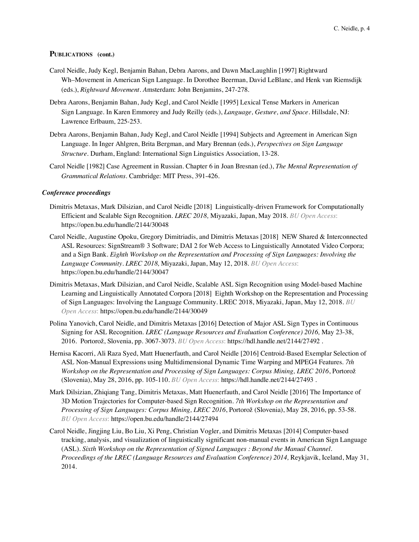- Carol Neidle, Judy Kegl, Benjamin Bahan, Debra Aarons, and Dawn MacLaughlin [1997] Rightward Wh–Movement in American Sign Language. In Dorothee Beerman, David LeBlanc, and Henk van Riemsdijk (eds.), *Rightward Movement. A*msterdam: John Benjamins, 247-278.
- Debra Aarons, Benjamin Bahan, Judy Kegl, and Carol Neidle [1995] Lexical Tense Markers in American Sign Language. In Karen Emmorey and Judy Reilly (eds.), *Language, Gesture, and Space.* Hillsdale, NJ: Lawrence Erlbaum, 225-253.
- Debra Aarons, Benjamin Bahan, Judy Kegl, and Carol Neidle [1994] Subjects and Agreement in American Sign Language. In Inger Ahlgren, Brita Bergman, and Mary Brennan (eds.), *Perspectives on Sign Language Structure.* Durham, England: International Sign Linguistics Association, 13-28.
- Carol Neidle [1982] Case Agreement in Russian. Chapter 6 in Joan Bresnan (ed.), *The Mental Representation of Grammatical Relations.* Cambridge: MIT Press, 391-426.

### *Conference proceedings*

- Dimitris Metaxas, Mark Dilsizian, and Carol Neidle [2018] Linguistically-driven Framework for Computationally Efficient and Scalable Sign Recognition. *LREC 2018,* Miyazaki, Japan, May 2018. *BU Open Access*: https://open.bu.edu/handle/2144/30048
- Carol Neidle, Augustine Opoku, Gregory Dimitriadis, and Dimitris Metaxas [2018] NEW Shared & Interconnected ASL Resources: SignStream® 3 Software; DAI 2 for Web Access to Linguistically Annotated Video Corpora; and a Sign Bank. *Eighth Workshop on the Representation and Processing of Sign Languages: Involving the Language Community. LREC 2018,* Miyazaki, Japan, May 12, 2018. *BU Open Access*: https://open.bu.edu/handle/2144/30047
- Dimitris Metaxas, Mark Dilsizian, and Carol Neidle, Scalable ASL Sign Recognition using Model-based Machine Learning and Linguistically Annotated Corpora [2018] Eighth Workshop on the Representation and Processing of Sign Languages: Involving the Language Community. LREC 2018, Miyazaki, Japan, May 12, 2018. *BU Open Access*: https://open.bu.edu/handle/2144/30049
- Polina Yanovich, Carol Neidle, and Dimitris Metaxas [2016] Detection of Major ASL Sign Types in Continuous Signing for ASL Recognition. *LREC (Language Resources and Evaluation Conference) 2016,* May 23-38, 2016. Portorož, Slovenia, pp. 3067-3073. *BU Open Access*: https://hdl.handle.net/2144/27492 .
- Hernisa Kacorri, Ali Raza Syed, Matt Huenerfauth, and Carol Neidle [2016] Centroid-Based Exemplar Selection of ASL Non-Manual Expressions using Multidimensional Dynamic Time Warping and MPEG4 Features. *7th Workshop on the Representation and Processing of Sign Languages: Corpus Mining, LREC 2016*, Portorož (Slovenia), May 28, 2016, pp. 105-110. *BU Open Access*: https://hdl.handle.net/2144/27493 .
- Mark Dilsizian, Zhiqiang Tang, Dimitris Metaxas, Matt Huenerfauth, and Carol Neidle [2016] The Importance of 3D Motion Trajectories for Computer-based Sign Recognition. *7th Workshop on the Representation and Processing of Sign Languages: Corpus Mining, LREC 2016*, Portorož (Slovenia), May 28, 2016, pp. 53-58. *BU Open Access*: https://open.bu.edu/handle/2144/27494
- Carol Neidle, Jingjing Liu, Bo Liu, Xi Peng, Christian Vogler, and Dimitris Metaxas [2014] Computer-based tracking, analysis, and visualization of linguistically significant non-manual events in American Sign Language (ASL). *Sixth Workshop on the Representation of Signed Languages : Beyond the Manual Channel. Proceedings of the LREC (Language Resources and Evaluation Conference) 2014,* Reykjavik, Iceland, May 31, 2014.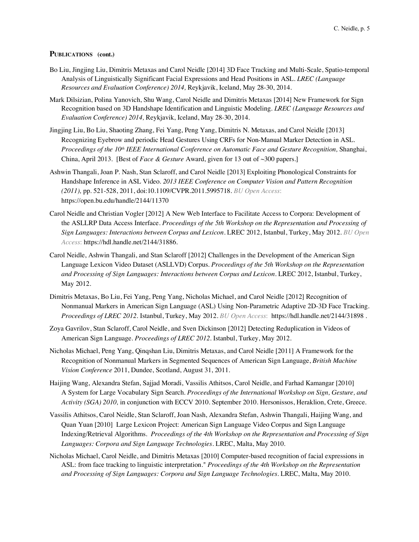- Bo Liu, Jingjing Liu, Dimitris Metaxas and Carol Neidle [2014] 3D Face Tracking and Multi-Scale, Spatio-temporal Analysis of Linguistically Significant Facial Expressions and Head Positions in ASL. *LREC (Language Resources and Evaluation Conference) 2014,* Reykjavik, Iceland, May 28-30, 2014.
- Mark Dilsizian, Polina Yanovich, Shu Wang, Carol Neidle and Dimitris Metaxas [2014] New Framework for Sign Recognition based on 3D Handshape Identification and Linguistic Modeling. *LREC (Language Resources and Evaluation Conference) 2014,* Reykjavik, Iceland, May 28-30, 2014.
- Jingjing Liu, Bo Liu, Shaoting Zhang, Fei Yang, Peng Yang, Dimitris N. Metaxas, and Carol Neidle [2013] Recognizing Eyebrow and periodic Head Gestures Using CRFs for Non-Manual Marker Detection in ASL. *Proceedings of the 10th IEEE International Conference on Automatic Face and Gesture Recognition,* Shanghai, China, April 2013. [Best of *Face & Gesture* Award, given for 13 out of ~300 papers.]
- Ashwin Thangali, Joan P. Nash, Stan Sclaroff, and Carol Neidle [2013] Exploiting Phonological Constraints for Handshape Inference in ASL Video. *2013 IEEE Conference on Computer Vision and Pattern Recognition (2011),* pp. 521-528, 2011, doi:10.1109/CVPR.2011.5995718. *BU Open Access*: https://open.bu.edu/handle/2144/11370
- Carol Neidle and Christian Vogler [2012] A New Web Interface to Facilitate Access to Corpora: Development of the ASLLRP Data Access Interface*. Proceedings of the 5th Workshop on the Representation and Processing of Sign Languages: Interactions between Corpus and Lexicon*. LREC 2012, Istanbul, Turkey, May 2012. *BU Open Access*: https://hdl.handle.net/2144/31886.
- Carol Neidle, Ashwin Thangali, and Stan Sclaroff [2012] Challenges in the Development of the American Sign Language Lexicon Video Dataset (ASLLVD) Corpus*. Proceedings of the 5th Workshop on the Representation and Processing of Sign Languages: Interactions between Corpus and Lexicon.* LREC 2012, Istanbul, Turkey, May 2012.
- Dimitris Metaxas, Bo Liu, Fei Yang, Peng Yang, Nicholas Michael, and Carol Neidle [2012] Recognition of Nonmanual Markers in American Sign Language (ASL) Using Non-Parametric Adaptive 2D-3D Face Tracking. *Proceedings of LREC 2012*. Istanbul, Turkey, May 2012. *BU Open Access*: https://hdl.handle.net/2144/31898 .
- Zoya Gavrilov, Stan Sclaroff, Carol Neidle, and Sven Dickinson [2012] Detecting Reduplication in Videos of American Sign Language. *Proceedings of LREC 2012.* Istanbul, Turkey, May 2012.
- Nicholas Michael, Peng Yang, Qinqshan Liu, Dimitris Metaxas, and Carol Neidle [2011] A Framework for the Recognition of Nonmanual Markers in Segmented Sequences of American Sign Language, *British Machine Vision Conference* 2011, Dundee, Scotland, August 31, 2011.
- Haijing Wang, Alexandra Stefan, Sajjad Moradi, Vassilis Athitsos, Carol Neidle, and Farhad Kamangar [2010] A System for Large Vocabulary Sign Search. *Proceedings of the International Workshop on Sign, Gesture, and Activity (SGA) 2010,* in conjunction with ECCV 2010. September 2010. Hersonissos, Heraklion, Crete, Greece.
- Vassilis Athitsos, Carol Neidle, Stan Sclaroff, Joan Nash, Alexandra Stefan, Ashwin Thangali, Haijing Wang, and Quan Yuan [2010] Large Lexicon Project: American Sign Language Video Corpus and Sign Language Indexing/Retrieval Algorithms. *Proceedings of the 4th Workshop on the Representation and Processing of Sign Languages: Corpora and Sign Language Technologies.* LREC, Malta, May 2010.
- Nicholas Michael, Carol Neidle, and Dimitris Metaxas [2010] Computer-based recognition of facial expressions in ASL: from face tracking to linguistic interpretation." *Proceedings of the 4th Workshop on the Representation and Processing of Sign Languages: Corpora and Sign Language Technologies.* LREC, Malta, May 2010.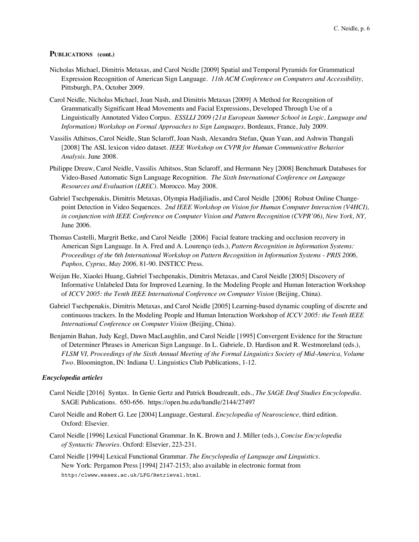- Nicholas Michael, Dimitris Metaxas, and Carol Neidle [2009] Spatial and Temporal Pyramids for Grammatical Expression Recognition of American Sign Language*. 11th ACM Conference on Computers and Accessibility,* Pittsburgh, PA, October 2009.
- Carol Neidle, Nicholas Michael, Joan Nash, and Dimitris Metaxas [2009] A Method for Recognition of Grammatically Significant Head Movements and Facial Expressions, Developed Through Use of a Linguistically Annotated Video Corpus. *ESSLLI 2009 (21st European Summer School in Logic, Language and Information) Workshop on Formal Approaches to Sign Languages,* Bordeaux, France, July 2009.
- Vassilis Athitsos, Carol Neidle, Stan Sclaroff, Joan Nash, Alexandra Stefan, Quan Yuan, and Ashwin Thangali [2008] The ASL lexicon video dataset*. IEEE Workshop on CVPR for Human Communicative Behavior Analysis.* June 2008.
- Philippe Dreuw, Carol Neidle, Vassilis Athitsos, Stan Sclaroff, and Hermann Ney [2008] Benchmark Databases for Video-Based Automatic Sign Language Recognition. *The Sixth International Conference on Language Resources and Evaluation (LREC).* Morocco. May 2008.
- Gabriel Tsechpenakis, Dimitris Metaxas, Olympia Hadjiliadis, and Carol Neidle [2006] Robust Online Changepoint Detection in Video Sequences. *2nd IEEE Workshop on Vision for Human Computer Interaction (V4HCI), in conjunction with IEEE Conference on Computer Vision and Pattern Recognition (CVPR'06), New York, NY,*  June 2006.
- Thomas Castelli, Margrit Betke, and Carol Neidle [2006] Facial feature tracking and occlusion recovery in American Sign Language. In A. Fred and A. Lourenço (eds.), *Pattern Recognition in Information Systems: Proceedings of the 6th International Workshop on Pattern Recognition in Information Systems - PRIS 2006, Paphos, Cyprus, May 2006,* 81-90. INSTICC Press.
- Weijun He, Xiaolei Huang, Gabriel Tsechpenakis, Dimitris Metaxas, and Carol Neidle [2005] Discovery of Informative Unlabeled Data for Improved Learning. In the Modeling People and Human Interaction Workshop of *ICCV 2005: the Tenth IEEE International Conference on Computer Vision* (Beijing, China).
- Gabriel Tsechpenakis, Dimitris Metaxas, and Carol Neidle [2005] Learning-based dynamic coupling of discrete and continuous trackers. In the Modeling People and Human Interaction Workshop of *ICCV 2005: the Tenth IEEE International Conference on Computer Vision* (Beijing, China).
- Benjamin Bahan, Judy Kegl, Dawn MacLaughlin, and Carol Neidle [1995] Convergent Evidence for the Structure of Determiner Phrases in American Sign Language. In L. Gabriele, D. Hardison and R. Westmoreland (eds.), *FLSM VI, Proceedings of the Sixth Annual Meeting of the Formal Linguistics Society of Mid-America, Volume Two*. Bloomington, IN: Indiana U. Linguistics Club Publications, 1-12.

### *Encyclopedia articles*

- Carol Neidle [2016] Syntax. In Genie Gertz and Patrick Boudreault, eds., *The SAGE Deaf Studies Encyclopedia.* SAGE Publications. 650-656. https://open.bu.edu/handle/2144/27497
- Carol Neidle and Robert G. Lee [2004] Language, Gestural. *Encyclopedia of Neuroscience,* third edition. Oxford: Elsevier.
- Carol Neidle [1996] Lexical Functional Grammar. In K. Brown and J. Miller (eds.), *Concise Encyclopedia of Syntactic Theories.* Oxford: Elsevier, 223-231.
- Carol Neidle [1994] Lexical Functional Grammar. *The Encyclopedia of Language and Linguistics.*  New York: Pergamon Press [1994] 2147-2153; also available in electronic format from http:/clwww.essex.ac.uk/LFG/Retrieval.html.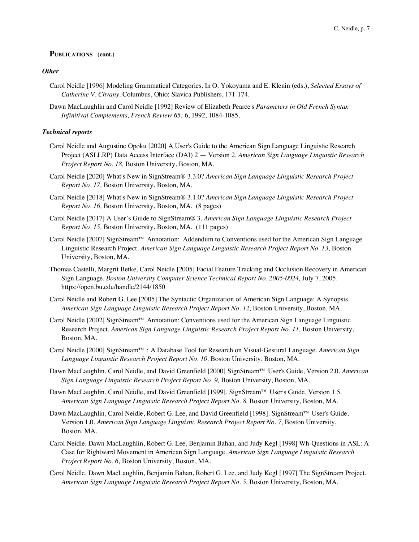## *Other*

- Carol Neidle [1996] Modeling Grammatical Categories. In O. Yokoyama and E. Klenin (eds.), *Selected Essays of Catherine V. Chvany.* Columbus, Ohio: Slavica Publishers, 171-174.
- Dawn MacLaughlin and Carol Neidle [1992] Review of Elizabeth Pearce's *Parameters in Old French Syntax Infinitival Complements, French Review 65:* 6, 1992, 1084-1085.

### *Technical reports*

- Carol Neidle and Augustine Opoku [2020] A User's Guide to the American Sign Language Linguistic Research Project (ASLLRP) Data Access Interface (DAI) 2 — Version 2. *American Sign Language Linguistic Research Project Report No. 18,* Boston University, Boston, MA.
- Carol Neidle [2020] What's New in SignStream® 3.3.0? *American Sign Language Linguistic Research Project Report No. 17,* Boston University, Boston, MA.
- Carol Neidle [2018] What's New in SignStream® 3.1.0? *American Sign Language Linguistic Research Project Report No. 16,* Boston University, Boston, MA. (8 pages)
- Carol Neidle [2017] A User's Guide to SignStream® 3. *American Sign Language Linguistic Research Project Report No. 15,* Boston University, Boston, MA. (111 pages)
- Carol Neidle [2007] SignStream™ Annotation: Addendum to Conventions used for the American Sign Language Linguistic Research Project. *American Sign Language Linguistic Research Project Report No. 13,* Boston University, Boston, MA.
- Thomas Castelli, Margrit Betke, Carol Neidle [2005] Facial Feature Tracking and Occlusion Recovery in American Sign Language. *Boston University Computer Science Technical Report No. 2005-0024*, July 7, 2005. https://open.bu.edu/handle/2144/1850
- Carol Neidle and Robert G. Lee [2005] The Syntactic Organization of American Sign Language: A Synopsis. *American Sign Language Linguistic Research Project Report No. 12,* Boston University, Boston, MA.
- Carol Neidle [2002] SignStream™ Annotation: Conventions used for the American Sign Language Linguistic Research Project. *American Sign Language Linguistic Research Project Report No. 11,* Boston University, Boston, MA.
- Carol Neidle [2000] SignStream™ : A Database Tool for Research on Visual-Gestural Language. *American Sign Language Linguistic Research Project Report No. 10,* Boston University, Boston, MA.
- Dawn MacLaughlin, Carol Neidle, and David Greenfield [2000] SignStream™ User's Guide, Version 2.0. *American*  Sign Language Linguistic Research Project Report No. 9, Boston University, Boston, MA.
- Dawn MacLaughlin, Carol Neidle, and David Greenfield [1999]. SignStream™ User's Guide, Version 1.5. *American Sign Language Linguistic Research Project Report No. 8,* Boston University, Boston, MA.
- Dawn MacLaughlin, Carol Neidle, Robert G. Lee, and David Greenfield [1998]. SignStream™ User's Guide, Version 1.0. *American Sign Language Linguistic Research Project Report No. 7*, Boston University, Boston, MA.
- Carol Neidle, Dawn MacLaughlin, Robert G. Lee, Benjamin Bahan, and Judy Kegl [1998] Wh-Questions in ASL: A Case for Rightward Movement in American Sign Language. *American Sign Language Linguistic Research Project Report No. 6,* Boston University, Boston, MA.
- Carol Neidle, Dawn MacLaughlin, Benjamin Bahan, Robert G. Lee, and Judy Kegl [1997] The SignStream Project. *American Sign Language Linguistic Research Project Report No. 5,* Boston University, Boston, MA.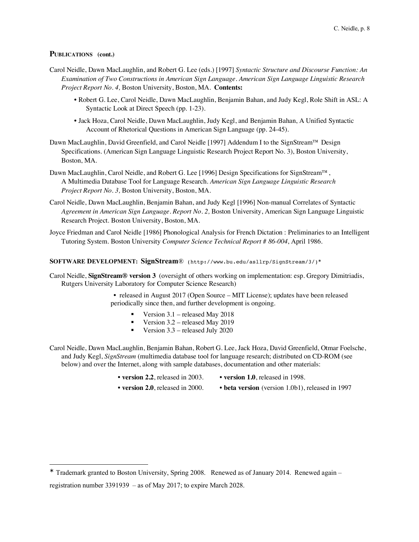$\overline{a}$ 

- Carol Neidle, Dawn MacLaughlin, and Robert G. Lee (eds.) [1997] *Syntactic Structure and Discourse Function: An Examination of Two Constructions in American Sign Language. American Sign Language Linguistic Research Project Report No. 4,* Boston University, Boston, MA. **Contents:** 
	- Robert G. Lee, Carol Neidle, Dawn MacLaughlin, Benjamin Bahan, and Judy Kegl, Role Shift in ASL: A Syntactic Look at Direct Speech (pp. 1-23).
	- Jack Hoza, Carol Neidle, Dawn MacLaughlin, Judy Kegl, and Benjamin Bahan, A Unified Syntactic Account of Rhetorical Questions in American Sign Language (pp. 24-45).
- Dawn MacLaughlin, David Greenfield, and Carol Neidle [1997] Addendum I to the SignStream™ Design Specifications. (American Sign Language Linguistic Research Project Report No. 3), Boston University, Boston, MA.
- Dawn MacLaughlin, Carol Neidle, and Robert G. Lee [1996] Design Specifications for SignStream™, A Multimedia Database Tool for Language Research. *American Sign Language Linguistic Research Project Report No. 3,* Boston University, Boston, MA.
- Carol Neidle, Dawn MacLaughlin, Benjamin Bahan, and Judy Kegl [1996] Non-manual Correlates of Syntactic *Agreement in American Sign Language. Report No. 2,* Boston University, American Sign Language Linguistic Research Project. Boston University, Boston, MA.
- Joyce Friedman and Carol Neidle [1986] Phonological Analysis for French Dictation : Preliminaries to an Intelligent Tutoring System. Boston University *Computer Science Technical Report # 86-004*, April 1986.

### **SOFTWARE DEVELOPMENT: SignStream**®(http://www.bu.edu/asllrp/SignStream/3/)<sup>Ü</sup>

- Carol Neidle, **SignStream® version 3** (oversight of others working on implementation: esp. Gregory Dimitriadis, Rutgers University Laboratory for Computer Science Research)
	- released in August 2017 (Open Source MIT License); updates have been released periodically since then, and further development is ongoing.
		- § Version 3.1 released May 2018
		- Version 3.2 released May 2019
		- Version  $3.3$  released July 2020
- Carol Neidle, Dawn MacLaughlin, Benjamin Bahan, Robert G. Lee, Jack Hoza, David Greenfield, Otmar Foelsche, and Judy Kegl, *SignStream* (multimedia database tool for language research; distributed on CD-ROM (see below) and over the Internet, along with sample databases, documentation and other materials:
	-
	- **version 2.2**, released in 2003. **version 1.0**, released in 1998.
	-
	- **version 2.0**, released in 2000. **beta version** (version 1.0b1), released in 1997

<sup>\*</sup> Trademark granted to Boston University, Spring 2008. Renewed as of January 2014. Renewed again – registration number 3391939 – as of May 2017; to expire March 2028.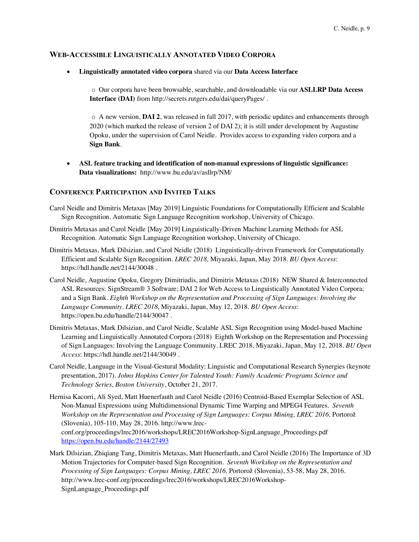# **WEB-ACCESSIBLE LINGUISTICALLY ANNOTATED VIDEO CORPORA**

• **Linguistically annotated video corpora** shared via our **Data Access Interface**

o Our corpora have been browsable, searchable, and downloadable via our **ASLLRP Data Access Interface (DAI)** from http://secrets.rutgers.edu/dai/queryPages/ .

o A new version, **DAI 2**, was released in fall 2017, with periodic updates and enhancements through 2020 (which marked the release of version 2 of DAI 2); it is still under development by Augustine Opoku, under the supervision of Carol Neidle. Provides access to expanding video corpora and a **Sign Bank**.

• **ASL feature tracking and identification of non-manual expressions of linguistic significance: Data visualizations:** http://www.bu.edu/av/asllrp/NM/

# **CONFERENCE PARTICIPATION AND INVITED TALKS**

- Carol Neidle and Dimitris Metaxas [May 2019] Linguistic Foundations for Computationally Efficient and Scalable Sign Recognition. Automatic Sign Language Recognition workshop, University of Chicago.
- Dimitris Metaxas and Carol Neidle [May 2019] Linguistically-Driven Machine Learning Methods for ASL Recognition. Automatic Sign Language Recognition workshop, University of Chicago.
- Dimitris Metaxas, Mark Dilsizian, and Carol Neidle (2018) Linguistically-driven Framework for Computationally Efficient and Scalable Sign Recognition. *LREC 2018,* Miyazaki, Japan, May 2018. *BU Open Access*: https://hdl.handle.net/2144/30048 .
- Carol Neidle, Augustine Opoku, Gregory Dimitriadis, and Dimitris Metaxas (2018) NEW Shared & Interconnected ASL Resources: SignStream® 3 Software; DAI 2 for Web Access to Linguistically Annotated Video Corpora; and a Sign Bank. *Eighth Workshop on the Representation and Processing of Sign Languages: Involving the Language Community. LREC 2018,* Miyazaki, Japan, May 12, 2018. *BU Open Access*: https://open.bu.edu/handle/2144/30047 .
- Dimitris Metaxas, Mark Dilsizian, and Carol Neidle, Scalable ASL Sign Recognition using Model-based Machine Learning and Linguistically Annotated Corpora (2018) Eighth Workshop on the Representation and Processing of Sign Languages: Involving the Language Community. LREC 2018, Miyazaki, Japan, May 12, 2018. *BU Open Access*: https://hdl.handle.net/2144/30049 .
- Carol Neidle, Language in the Visual-Gestural Modality: Linguistic and Computational Research Synergies (keynote presentation, 2017). *Johns Hopkins Center for Talented Youth: Family Academic Programs Science and Technology Series, Boston University*, October 21, 2017.

Hernisa Kacorri, Ali Syed, Matt Huenerfauth and Carol Neidle (2016) Centroid-Based Exemplar Selection of ASL Non-Manual Expressions using Multidimensional Dynamic Time Warping and MPEG4 Features. *Seventh Workshop on the Representation and Processing of Sign Languages: Corpus Mining, LREC 2016,* Portorož (Slovenia), 105-110, May 28, 2016. http://www.lrecconf.org/proceedings/lrec2016/workshops/LREC2016Workshop-SignLanguage\_Proceedings.pdf https://open.bu.edu/handle/2144/27493

Mark Dilsizian, Zhiqiang Tang, Dimitris Metaxas, Matt Huenerfauth, and Carol Neidle (2016) The Importance of 3D Motion Trajectories for Computer-based Sign Recognition. *Seventh Workshop on the Representation and Processing of Sign Languages: Corpus Mining, LREC 2016,* Portorož (Slovenia), 53-58, May 28, 2016. http://www.lrec-conf.org/proceedings/lrec2016/workshops/LREC2016Workshop-SignLanguage\_Proceedings.pdf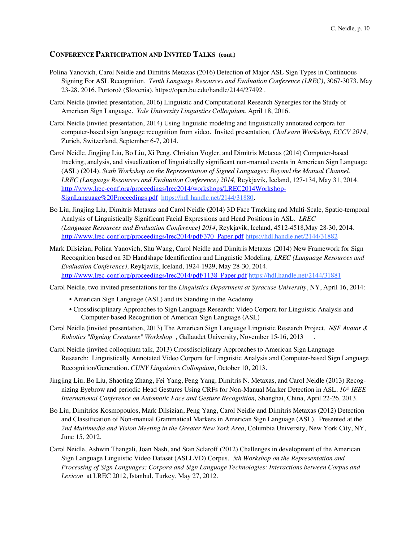- Polina Yanovich, Carol Neidle and Dimitris Metaxas (2016) Detection of Major ASL Sign Types in Continuous Signing For ASL Recognition. *Tenth Language Resources and Evaluation Conference (LREC)*, 3067-3073. May 23-28, 2016, Portorož (Slovenia). https://open.bu.edu/handle/2144/27492 .
- Carol Neidle (invited presentation, 2016) Linguistic and Computational Research Synergies for the Study of American Sign Language. *Yale University Linguistics Colloquium.* April 18, 2016.
- Carol Neidle (invited presentation, 2014) Using linguistic modeling and linguistically annotated corpora for computer-based sign language recognition from video. Invited presentation*, ChaLearn Workshop, ECCV 2014*, Zurich, Switzerland, September 6-7, 2014.
- Carol Neidle, Jingjing Liu, Bo Liu, Xi Peng, Christian Vogler, and Dimitris Metaxas (2014) Computer-based tracking, analysis, and visualization of linguistically significant non-manual events in American Sign Language (ASL) (2014). *Sixth Workshop on the Representation of Signed Languages: Beyond the Manual Channel. LREC (Language Resources and Evaluation Conference) 2014,* Reykjavik, Iceland, 127-134, May 31, 2014. http://www.lrec-conf.org/proceedings/lrec2014/workshops/LREC2014Workshop-SignLanguage%20Proceedings.pdf https://hdl.handle.net/2144/31880.
- Bo Liu, Jingjing Liu, Dimitris Metaxas and Carol Neidle (2014) 3D Face Tracking and Multi-Scale, Spatio-temporal Analysis of Linguistically Significant Facial Expressions and Head Positions in ASL. *LREC (Language Resources and Evaluation Conference) 2014,* Reykjavik, Iceland, 4512-4518,May 28-30, 2014. http://www.lrec-conf.org/proceedings/lrec2014/pdf/370\_Paper.pdf https://hdl.handle.net/2144/31882
- Mark Dilsizian, Polina Yanovich, Shu Wang, Carol Neidle and Dimitris Metaxas (2014) New Framework for Sign Recognition based on 3D Handshape Identification and Linguistic Modeling. *LREC (Language Resources and Evaluation Conference),* Reykjavik, Iceland, 1924-1929, May 28-30, 2014. http://www.lrec-conf.org/proceedings/lrec2014/pdf/1138\_Paper.pdf https://hdl.handle.net/2144/31881

Carol Neidle, two invited presentations for the *Linguistics Department at Syracuse University*, NY, April 16, 2014:

- American Sign Language (ASL) and its Standing in the Academy
- Crossdisciplinary Approaches to Sign Language Research: Video Corpora for Linguistic Analysis and Computer-based Recognition of American Sign Language (ASL)
- Carol Neidle (invited presentation, 2013) The American Sign Language Linguistic Research Project. *NSF Avatar & Robotics "Signing Creatures" Workshop ,* Gallaudet University, November 15-16, 2013 .
- Carol Neidle (invited colloquium talk, 2013) Crossdisciplinary Approaches to American Sign Language Research: Linguistically Annotated Video Corpora for Linguistic Analysis and Computer-based Sign Language Recognition/Generation. *CUNY Linguistics Colloquium*, October 10, 2013.
- Jingjing Liu, Bo Liu, Shaoting Zhang, Fei Yang, Peng Yang, Dimitris N. Metaxas, and Carol Neidle (2013) Recognizing Eyebrow and periodic Head Gestures Using CRFs for Non-Manual Marker Detection in ASL. *10th IEEE International Conference on Automatic Face and Gesture Recognition,* Shanghai, China, April 22-26, 2013.
- Bo Liu, Dimitrios Kosmopoulos, Mark Dilsizian, Peng Yang, Carol Neidle and Dimitris Metaxas (2012) Detection and Classification of Non-manual Grammatical Markers in American Sign Language (ASL). Presented at the *2nd Multimedia and Vision Meeting in the Greater New York Area,* Columbia University, New York City, NY, June 15, 2012.
- Carol Neidle, Ashwin Thangali, Joan Nash, and Stan Sclaroff (2012) Challenges in development of the American Sign Language Linguistic Video Dataset (ASLLVD) Corpus. *5th Workshop on the Representation and Processing of Sign Languages: Corpora and Sign Language Technologies: Interactions between Corpus and Lexicon* at LREC 2012, Istanbul, Turkey, May 27, 2012.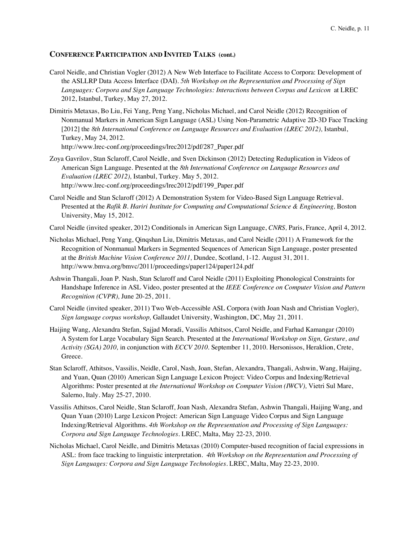- Carol Neidle, and Christian Vogler (2012) A New Web Interface to Facilitate Access to Corpora: Development of the ASLLRP Data Access Interface (DAI). *5th Workshop on the Representation and Processing of Sign Languages: Corpora and Sign Language Technologies: Interactions between Corpus and Lexicon* at LREC 2012, Istanbul, Turkey, May 27, 2012.
- Dimitris Metaxas, Bo Liu, Fei Yang, Peng Yang, Nicholas Michael, and Carol Neidle (2012) Recognition of Nonmanual Markers in American Sign Language (ASL) Using Non-Parametric Adaptive 2D-3D Face Tracking [2012] the *8th International Conference on Language Resources and Evaluation (LREC 2012),* Istanbul, Turkey, May 24, 2012.

http://www.lrec-conf.org/proceedings/lrec2012/pdf/287\_Paper.pdf

- Zoya Gavrilov, Stan Sclaroff, Carol Neidle, and Sven Dickinson (2012) Detecting Reduplication in Videos of American Sign Language. Presented at the *8th International Conference on Language Resources and Evaluation (LREC 2012),* Istanbul, Turkey. May 5, 2012. http://www.lrec-conf.org/proceedings/lrec2012/pdf/199\_Paper.pdf
- Carol Neidle and Stan Sclaroff (2012) A Demonstration System for Video-Based Sign Language Retrieval. Presented at the *Rafik B. Hariri Institute for Computing and Computational Science & Engineering,* Boston University, May 15, 2012.
- Carol Neidle (invited speaker, 2012) Conditionals in American Sign Language, *CNRS,* Paris, France, April 4, 2012.
- Nicholas Michael, Peng Yang, Qinqshan Liu, Dimitris Metaxas, and Carol Neidle (2011) A Framework for the Recognition of Nonmanual Markers in Segmented Sequences of American Sign Language, poster presented at the *British Machine Vision Conference 2011,* Dundee, Scotland, 1-12. August 31, 2011. http://www.bmva.org/bmvc/2011/proceedings/paper124/paper124.pdf
- Ashwin Thangali, Joan P. Nash, Stan Sclaroff and Carol Neidle (2011) Exploiting Phonological Constraints for Handshape Inference in ASL Video, poster presented at the *IEEE Conference on Computer Vision and Pattern Recognition (CVPR),* June 20-25, 2011.
- Carol Neidle (invited speaker, 2011) Two Web-Accessible ASL Corpora (with Joan Nash and Christian Vogler), *Sign language corpus workshop,* Gallaudet University, Washington, DC, May 21, 2011.
- Haijing Wang, Alexandra Stefan, Sajjad Moradi, Vassilis Athitsos, Carol Neidle, and Farhad Kamangar (2010) A System for Large Vocabulary Sign Search. Presented at the *International Workshop on Sign, Gesture, and Activity (SGA) 2010,* in conjunction with *ECCV 2010.* September 11, 2010. Hersonissos, Heraklion, Crete, Greece.
- Stan Sclaroff, Athitsos, Vassilis, Neidle, Carol, Nash, Joan, Stefan, Alexandra, Thangali, Ashwin, Wang, Haijing, and Yuan, Quan (2010) American Sign Language Lexicon Project: Video Corpus and Indexing/Retrieval Algorithms: Poster presented at *the International Workshop on Computer Vision (IWCV),* Vietri Sul Mare, Salerno, Italy. May 25-27, 2010.
- Vassilis Athitsos, Carol Neidle, Stan Sclaroff, Joan Nash, Alexandra Stefan, Ashwin Thangali, Haijing Wang, and Quan Yuan (2010) Large Lexicon Project: American Sign Language Video Corpus and Sign Language Indexing/Retrieval Algorithms. *4th Workshop on the Representation and Processing of Sign Languages: Corpora and Sign Language Technologies.* LREC, Malta, May 22-23, 2010.
- Nicholas Michael, Carol Neidle, and Dimitris Metaxas (2010) Computer-based recognition of facial expressions in ASL: from face tracking to linguistic interpretation. *4th Workshop on the Representation and Processing of Sign Languages: Corpora and Sign Language Technologies.* LREC, Malta, May 22-23, 2010.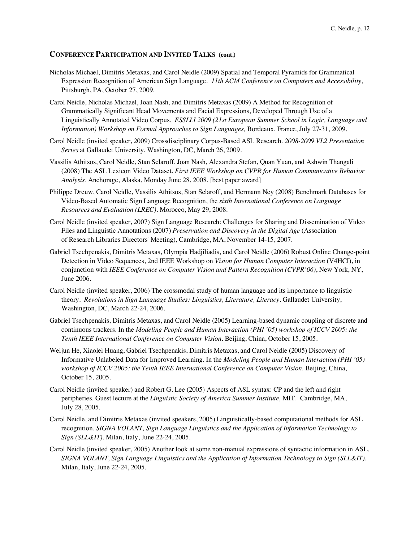- Nicholas Michael, Dimitris Metaxas, and Carol Neidle (2009) Spatial and Temporal Pyramids for Grammatical Expression Recognition of American Sign Language. *11th ACM Conference on Computers and Accessibility,* Pittsburgh, PA, October 27, 2009.
- Carol Neidle, Nicholas Michael, Joan Nash, and Dimitris Metaxas (2009) A Method for Recognition of Grammatically Significant Head Movements and Facial Expressions, Developed Through Use of a Linguistically Annotated Video Corpus. *ESSLLI 2009 (21st European Summer School in Logic, Language and Information) Workshop on Formal Approaches to Sign Languages,* Bordeaux, France, July 27-31, 2009.
- Carol Neidle (invited speaker, 2009) Crossdisciplinary Corpus-Based ASL Research. *2008-2009 VL2 Presentation Series* at Gallaudet University, Washington, DC, March 26, 2009.
- Vassilis Athitsos, Carol Neidle, Stan Sclaroff, Joan Nash, Alexandra Stefan, Quan Yuan, and Ashwin Thangali (2008) The ASL Lexicon Video Dataset. *First IEEE Workshop on CVPR for Human Communicative Behavior Analysis*. Anchorage, Alaska, Monday June 28, 2008. [best paper award]
- Philippe Dreuw, Carol Neidle, Vassilis Athitsos, Stan Sclaroff, and Hermann Ney (2008) Benchmark Databases for Video-Based Automatic Sign Language Recognition, the *sixth International Conference on Language Resources and Evaluation (LREC).* Morocco, May 29, 2008.
- Carol Neidle (invited speaker, 2007) Sign Language Research: Challenges for Sharing and Dissemination of Video Files and Linguistic Annotations (2007) *Preservation and Discovery in the Digital Age* (Association of Research Libraries Directors' Meeting)*,* Cambridge, MA, November 14-15, 2007.
- Gabriel Tsechpenakis, Dimitris Metaxas, Olympia Hadjiliadis, and Carol Neidle (2006) Robust Online Change-point Detection in Video Sequences, 2nd IEEE Workshop on *Vision for Human Computer Interaction* (V4HCI), in conjunction with *IEEE Conference on Computer Vision and Pattern Recognition (CVPR'06)*, New York, NY, June 2006.
- Carol Neidle (invited speaker, 2006) The crossmodal study of human language and its importance to linguistic theory. *Revolutions in Sign Language Studies: Linguistics, Literature, Literacy.* Gallaudet University, Washington, DC, March 22-24, 2006.
- Gabriel Tsechpenakis, Dimitris Metaxas, and Carol Neidle (2005) Learning-based dynamic coupling of discrete and continuous trackers. In the *Modeling People and Human Interaction (PHI '05) workshop of ICCV 2005: the Tenth IEEE International Conference on Computer Vision.* Beijing, China, October 15, 2005.
- Weijun He, Xiaolei Huang, Gabriel Tsechpenakis, Dimitris Metaxas, and Carol Neidle (2005) Discovery of Informative Unlabeled Data for Improved Learning. In the *Modeling People and Human Interaction (PHI '05) workshop of ICCV 2005: the Tenth IEEE International Conference on Computer Vision.* Beijing, China, October 15, 2005.
- Carol Neidle (invited speaker) and Robert G. Lee (2005) Aspects of ASL syntax: CP and the left and right peripheries. Guest lecture at the *Linguistic Society of America Summer Institute,* MIT. Cambridge, MA, July 28, 2005.
- Carol Neidle, and Dimitris Metaxas (invited speakers, 2005) Linguistically-based computational methods for ASL recognition. *SIGNA VOLANT, Sign Language Linguistics and the Application of Information Technology to Sign (SLL&IT).* Milan, Italy, June 22-24, 2005.
- Carol Neidle (invited speaker, 2005) Another look at some non-manual expressions of syntactic information in ASL. *SIGNA VOLANT, Sign Language Linguistics and the Application of Information Technology to Sign (SLL&IT).*  Milan, Italy, June 22-24, 2005.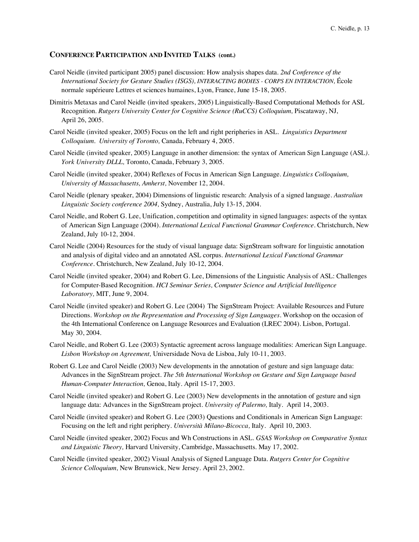- Carol Neidle (invited participant 2005) panel discussion: How analysis shapes data. *2nd Conference of the International Society for Gesture Studies (ISGS), INTERACTING BODIES - CORPS EN INTERACTION,* École normale supérieure Lettres et sciences humaines, Lyon, France, June 15-18, 2005.
- Dimitris Metaxas and Carol Neidle (invited speakers, 2005) Linguistically-Based Computational Methods for ASL Recognition. *Rutgers University Center for Cognitive Science (RuCCS) Colloquium, Piscataway, NJ,* April 26, 2005.
- Carol Neidle (invited speaker, 2005) Focus on the left and right peripheries in ASL. *Linguistics Department Colloquium. University of Toronto,* Canada, February 4, 2005.
- Carol Neidle (invited speaker, 2005) Language in another dimension: the syntax of American Sign Language (ASL*). York University DLLL,* Toronto, Canada, February 3, 2005.
- Carol Neidle (invited speaker, 2004) Reflexes of Focus in American Sign Language. *Linguistics Colloquium, University of Massachusetts, Amherst,* November 12, 2004.
- Carol Neidle (plenary speaker, 2004) Dimensions of linguistic research: Analysis of a signed language. *Australian Linguistic Society conference 2004,* Sydney, Australia, July 13-15, 2004.
- Carol Neidle, and Robert G. Lee, Unification, competition and optimality in signed languages: aspects of the syntax of American Sign Language (2004). *International Lexical Functional Grammar Conference.* Christchurch, New Zealand, July 10-12, 2004.
- Carol Neidle (2004) Resources for the study of visual language data: SignStream software for linguistic annotation and analysis of digital video and an annotated ASL corpus. *International Lexical Functional Grammar Conference.* Christchurch, New Zealand, July 10-12, 2004.
- Carol Neidle (invited speaker, 2004) and Robert G. Lee, Dimensions of the Linguistic Analysis of ASL: Challenges for Computer-Based Recognition. *HCI Seminar Series, Computer Science and Artificial Intelligence Laboratory,* MIT, June 9, 2004.
- Carol Neidle (invited speaker) and Robert G. Lee (2004) The SignStream Project: Available Resources and Future Directions. *Workshop on the Representation and Processing of Sign Languages.* Workshop on the occasion of the 4th International Conference on Language Resources and Evaluation (LREC 2004). Lisbon, Portugal. May 30, 2004.
- Carol Neidle, and Robert G. Lee (2003) Syntactic agreement across language modalities: American Sign Language. *Lisbon Workshop on Agreement,* Universidade Nova de Lisboa, July 10-11, 2003.
- Robert G. Lee and Carol Neidle (2003) New developments in the annotation of gesture and sign language data: Advances in the SignStream project. *The 5th International Workshop on Gesture and Sign Language based Human-Computer Interaction,* Genoa, Italy. April 15-17, 2003.
- Carol Neidle (invited speaker) and Robert G. Lee (2003) New developments in the annotation of gesture and sign language data: Advances in the SignStream project. *University of Palermo,* Italy. April 14, 2003.
- Carol Neidle (invited speaker) and Robert G. Lee (2003) Questions and Conditionals in American Sign Language: Focusing on the left and right periphery. *Università Milano-Bicocca,* Italy. April 10, 2003.
- Carol Neidle (invited speaker, 2002) Focus and Wh Constructions in ASL. *GSAS Workshop on Comparative Syntax and Linguistic Theory,* Harvard University, Cambridge, Massachusetts. May 17, 2002.
- Carol Neidle (invited speaker, 2002) Visual Analysis of Signed Language Data. *Rutgers Center for Cognitive Science Colloquium,* New Brunswick, New Jersey. April 23, 2002.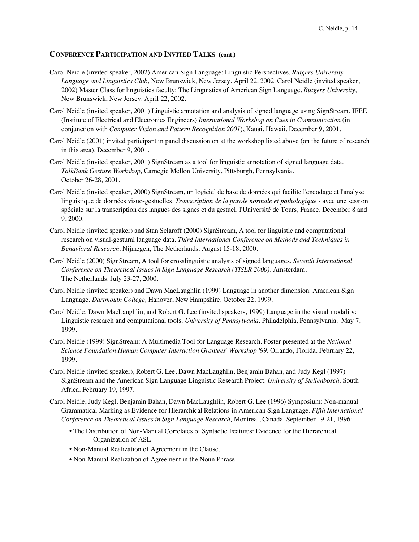- Carol Neidle (invited speaker, 2002) American Sign Language: Linguistic Perspectives. *Rutgers University Language and Linguistics Club,* New Brunswick, New Jersey. April 22, 2002. Carol Neidle (invited speaker, 2002) Master Class for linguistics faculty: The Linguistics of American Sign Language. *Rutgers University,* New Brunswick, New Jersey. April 22, 2002.
- Carol Neidle (invited speaker, 2001) Linguistic annotation and analysis of signed language using SignStream. IEEE (Institute of Electrical and Electronics Engineers) *International Workshop on Cues in Communication* (in conjunction with *Computer Vision and Pattern Recognition 2001*), Kauai, Hawaii. December 9, 2001.
- Carol Neidle (2001) invited participant in panel discussion on at the workshop listed above (on the future of research in this area). December 9, 2001.
- Carol Neidle (invited speaker, 2001) SignStream as a tool for linguistic annotation of signed language data. *TalkBank Gesture Workshop,* Carnegie Mellon University, Pittsburgh, Pennsylvania. October 26-28, 2001.
- Carol Neidle (invited speaker, 2000) SignStream, un logiciel de base de données qui facilite l'encodage et l'analyse linguistique de données visuo-gestuelles. *Transcription de la parole normale et pathologique* - avec une session spéciale sur la transcription des langues des signes et du gestuel. l'Université de Tours, France. December 8 and 9, 2000.
- Carol Neidle (invited speaker) and Stan Sclaroff (2000) SignStream, A tool for linguistic and computational research on visual-gestural language data. *Third International Conference on Methods and Techniques in Behavioral Research.* Nijmegen, The Netherlands. August 15-18, 2000.
- Carol Neidle (2000) SignStream, A tool for crosslinguistic analysis of signed languages. *Seventh International Conference on Theoretical Issues in Sign Language Research (TISLR 2000).* Amsterdam, The Netherlands. July 23-27, 2000.
- Carol Neidle (invited speaker) and Dawn MacLaughlin (1999) Language in another dimension: American Sign Language. *Dartmouth College,* Hanover, New Hampshire. October 22, 1999.
- Carol Neidle, Dawn MacLaughlin, and Robert G. Lee (invited speakers, 1999) Language in the visual modality: Linguistic research and computational tools. *University of Pennsylvania,* Philadelphia, Pennsylvania. May 7, 1999.
- Carol Neidle (1999) SignStream: A Multimedia Tool for Language Research. Poster presented at the *National Science Foundation Human Computer Interaction Grantees' Workshop '99.* Orlando, Florida. February 22, 1999.
- Carol Neidle (invited speaker), Robert G. Lee, Dawn MacLaughlin, Benjamin Bahan, and Judy Kegl (1997) SignStream and the American Sign Language Linguistic Research Project. *University of Stellenbosch,* South Africa. February 19, 1997.
- Carol Neidle, Judy Kegl, Benjamin Bahan, Dawn MacLaughlin, Robert G. Lee (1996) Symposium: Non-manual Grammatical Marking as Evidence for Hierarchical Relations in American Sign Language. *Fifth International Conference on Theoretical Issues in Sign Language Research,* Montreal, Canada. September 19-21, 1996:
	- The Distribution of Non-Manual Correlates of Syntactic Features: Evidence for the Hierarchical Organization of ASL
	- Non-Manual Realization of Agreement in the Clause.
	- Non-Manual Realization of Agreement in the Noun Phrase.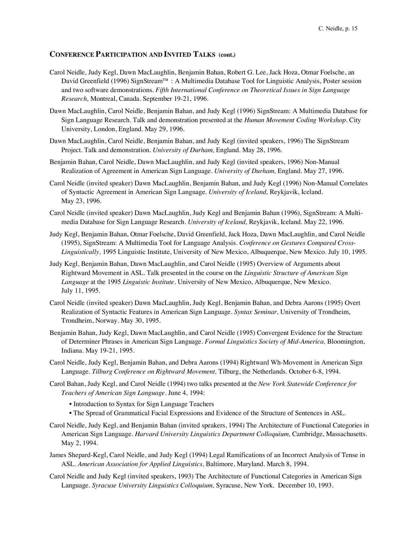- Carol Neidle, Judy Kegl, Dawn MacLaughlin, Benjamin Bahan, Robert G. Lee, Jack Hoza, Otmar Foelsche, an David Greenfield (1996) SignStream™ : A Multimedia Database Tool for Linguistic Analysis, Poster session and two software demonstrations. *Fifth International Conference on Theoretical Issues in Sign Language Research,* Montreal, Canada. September 19-21, 1996.
- Dawn MacLaughlin, Carol Neidle, Benjamin Bahan, and Judy Kegl (1996) SignStream: A Multimedia Database for Sign Language Research. Talk and demonstration presented at the *Human Movement Coding Workshop.* City University, London, England. May 29, 1996.
- Dawn MacLaughlin, Carol Neidle, Benjamin Bahan, and Judy Kegl (invited speakers, 1996) The SignStream Project. Talk and demonstration. *University of Durham,* England. May 28, 1996.
- Benjamin Bahan, Carol Neidle, Dawn MacLaughlin, and Judy Kegl (invited speakers, 1996) Non-Manual Realization of Agreement in American Sign Language. *University of Durham,* England. May 27, 1996.
- Carol Neidle (invited speaker) Dawn MacLaughlin, Benjamin Bahan, and Judy Kegl (1996) Non-Manual Correlates of Syntactic Agreement in American Sign Language. *University of Iceland,* Reykjavik, Iceland. May 23, 1996.
- Carol Neidle (invited speaker) Dawn MacLaughlin, Judy Kegl and Benjamin Bahan (1996), SignStream: A Multimedia Database for Sign Language Research. *University of Iceland,* Reykjavik, Iceland. May 22, 1996.
- Judy Kegl, Benjamin Bahan, Otmar Foelsche, David Greenfield, Jack Hoza, Dawn MacLaughlin, and Carol Neidle (1995), SignStream: A Multimedia Tool for Language Analysis. *Conference on Gestures Compared Cross-Linguistically,* 1995 Linguistic Institute, University of New Mexico, Albuquerque, New Mexico. July 10, 1995.
- Judy Kegl, Benjamin Bahan, Dawn MacLaughlin, and Carol Neidle (1995) Overview of Arguments about Rightward Movement in ASL. Talk presented in the course on the *Linguistic Structure of American Sign Language* at the 1995 *Linguistic Institute.* University of New Mexico, Albuquerque, New Mexico. July 11, 1995.
- Carol Neidle (invited speaker) Dawn MacLaughlin, Judy Kegl, Benjamin Bahan, and Debra Aarons (1995) Overt Realization of Syntactic Features in American Sign Language. *Syntax Seminar,* University of Trondheim, Trondheim, Norway. May 30, 1995.
- Benjamin Bahan, Judy Kegl, Dawn MacLaughlin, and Carol Neidle (1995) Convergent Evidence for the Structure of Determiner Phrases in American Sign Language. *Formal Linguistics Society of Mid-America,* Bloomington, Indiana. May 19-21, 1995.
- Carol Neidle, Judy Kegl, Benjamin Bahan, and Debra Aarons (1994) Rightward Wh-Movement in American Sign Language. *Tilburg Conference on Rightward Movement,* Tilburg, the Netherlands. October 6-8, 1994.
- Carol Bahan, Judy Kegl, and Carol Neidle (1994) two talks presented at the *New York Statewide Conference for Teachers of American Sign Language.* June 4, 1994:
	- Introduction to Syntax for Sign Language Teachers
	- The Spread of Grammatical Facial Expressions and Evidence of the Structure of Sentences in ASL.
- Carol Neidle, Judy Kegl, and Benjamin Bahan (invited speakers, 1994) The Architecture of Functional Categories in American Sign Language. *Harvard University Linguistics Department Colloquium,* Cambridge, Massachusetts. May 2, 1994.
- James Shepard-Kegl, Carol Neidle, and Judy Kegl (1994) Legal Ramifications of an Incorrect Analysis of Tense in ASL. *American Association for Applied Linguistics,* Baltimore, Maryland. March 8, 1994.
- Carol Neidle and Judy Kegl (invited speakers, 1993) The Architecture of Functional Categories in American Sign Language. *Syracuse University Linguistics Colloquium,* Syracuse, New York. December 10, 1993.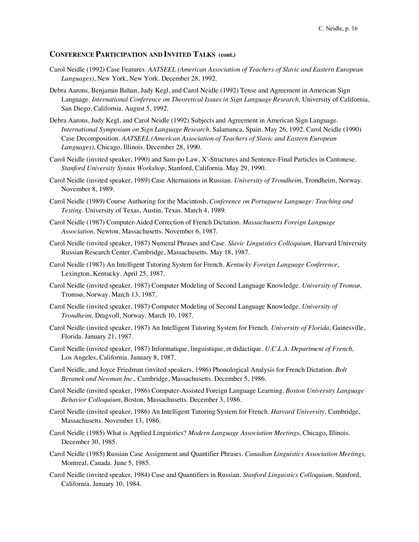- Carol Neidle (1992) Case Features. *AATSEEL (American Association of Teachers of Slavic and Eastern European Languages)*, New York, New York. December 28, 1992.
- Debra Aarons, Benjamin Bahan, Judy Kegl, and Carol Neidle (1992) Tense and Agreement in American Sign Language. *International Conference on Theoretical Issues in Sign Language Research,* University of California, San Diego, California. August 5, 1992.
- Debra Aarons, Judy Kegl, and Carol Neidle (1992) Subjects and Agreement in American Sign Language. *International Symposium on Sign Language Research,* Salamanca, Spain. May 26, 1992. Carol Neidle (1990) Case Decomposition. *AATSEEL (American Association of Teachers of Slavic and Eastern European Languages),* Chicago, Illinois. December 28, 1990.
- Carol Neidle (invited speaker, 1990) and Sam-po Law, X'-Structures and Sentence-Final Particles in Cantonese. *Stanford University Syntax Workshop*, Stanford, California. May 29, 1990.
- Carol Neidle (invited speaker, 1989) Case Alternations in Russian. *University of Trondheim,* Trondheim, Norway. November 8, 1989.
- Carol Neidle (1989) Course Authoring for the Macintosh, *Conference on Portuguese Language: Teaching and Testing.* University of Texas, Austin, Texas. March 4, 1989.
- Carol Neidle (1987) Computer-Aided Correction of French Dictation. *Massachusetts Foreign Language Association,* Newton, Massachusetts. November 6, 1987.
- Carol Neidle (invited speaker, 1987) Numeral Phrases and Case. *Slavic Linguistics Colloquium,* Harvard University Russian Research Center, Cambridge, Massachusetts. May 18, 1987.
- Carol Neidle (1987) An Intelligent Tutoring System for French. *Kentucky Foreign Language Conference,* Lexington, Kentucky. April 25, 1987.
- Carol Neidle (invited speaker, 1987) Computer Modeling of Second Language Knowledge*. University of Tromsø,* Tromsø, Norway. March 13, 1987.
- Carol Neidle (invited speaker, 1987) Computer Modeling of Second Language Knowledge. *University of Trondheim,* Dragvoll, Norway. March 10, 1987.
- Carol Neidle (invited speaker, 1987) An Intelligent Tutoring System for French*. University of Florida*, Gainesville, Florida. January 21, 1987.
- Carol Neidle (invited speaker, 1987) Informatique, linguistique, et didactique. *U.C.L.A. Department of French,*  Los Angeles, California. January 8, 1987.
- Carol Neidle, and Joyce Friedman (invited speakers, 1986) Phonological Analysis for French Dictation*. Bolt Beranek and Newman Inc.,* Cambridge, Massachusetts. December 5, 1986.
- Carol Neidle (invited speaker, 1986) Computer-Assisted Foreign Language Learning. *Boston University Language Behavior Colloquium,* Boston, Massachusetts. December 3, 1986.
- Carol Neidle (invited speaker, 1986) An Intelligent Tutoring System for French. *Harvard University,* Cambridge, Massachusetts. November 13, 1986.
- Carol Neidle (1985) What is Applied Linguistics? *Modern Language Association Meetings,* Chicago, Illinois. December 30, 1985.
- Carol Neidle (1985) Russian Case Assignment and Quantifier Phrases. *Canadian Linguistics Association Meetings,*  Montreal, Canada. June 5, 1985.
- Carol Neidle (invited speaker, 1984) Case and Quantifiers in Russian. *Stanford Linguistics Colloquium,* Stanford, California. January 10, 1984.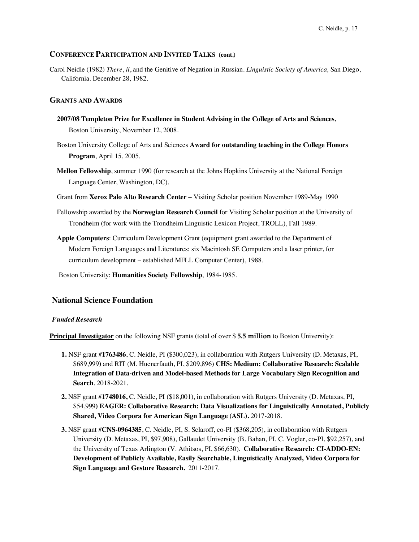Carol Neidle (1982) *There*, *il*, and the Genitive of Negation in Russian. *Linguistic Society of America,* San Diego, California. December 28, 1982.

## **GRANTS AND AWARDS**

- **2007/08 Templeton Prize for Excellence in Student Advising in the College of Arts and Sciences**, Boston University, November 12, 2008.
- Boston University College of Arts and Sciences **Award for outstanding teaching in the College Honors Program**, April 15, 2005.
- **Mellon Fellowship**, summer 1990 (for research at the Johns Hopkins University at the National Foreign Language Center, Washington, DC).
- Grant from **Xerox Palo Alto Research Center** Visiting Scholar position November 1989-May 1990
- Fellowship awarded by the **Norwegian Research Council** for Visiting Scholar position at the University of Trondheim (for work with the Trondheim Linguistic Lexicon Project, TROLL), Fall 1989.
- **Apple Computers**: Curriculum Development Grant (equipment grant awarded to the Department of Modern Foreign Languages and Literatures: six Macintosh SE Computers and a laser printer, for curriculum development – established MFLL Computer Center), 1988.

Boston University: **Humanities Society Fellowship**, 1984-1985.

## **National Science Foundation**

#### *Funded Research*

**Principal Investigator** on the following NSF grants (total of over \$ **5.5 million** to Boston University):

- **1.** NSF grant #**1763486**, C. Neidle, PI (\$300,023), in collaboration with Rutgers University (D. Metaxas, PI, \$689,999**)** and RIT (M. Huenerfauth, PI, \$209,896) **CHS: Medium: Collaborative Research: Scalable Integration of Data-driven and Model-based Methods for Large Vocabulary Sign Recognition and Search**. 2018-2021.
- **2.** NSF grant #**1748016,** C. Neidle, PI (\$18,001), in collaboration with Rutgers University (D. Metaxas, PI, \$54,999**) EAGER: Collaborative Research: Data Visualizations for Linguistically Annotated, Publicly Shared, Video Corpora for American Sign Language (ASL).** 2017-2018.
- **3.** NSF grant #**CNS-0964385**, C. Neidle, PI, S. Sclaroff, co-PI (\$368,205), in collaboration with Rutgers University (D. Metaxas, PI, \$97,908), Gallaudet University (B. Bahan, PI, C. Vogler, co-PI, \$92,257), and the University of Texas Arlington (V. Athitsos, PI, \$66,630). **Collaborative Research: CI-ADDO-EN: Development of Publicly Available, Easily Searchable, Linguistically Analyzed, Video Corpora for Sign Language and Gesture Research.** 2011-2017.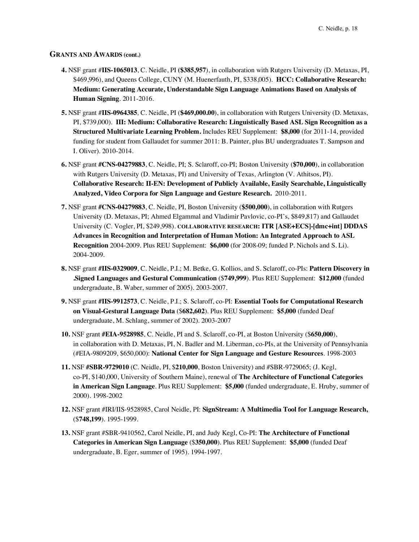## **GRANTS AND AWARDS (cont.)**

- **4.** NSF grant #**IIS-1065013**, C. Neidle, PI **(\$385,957**), in collaboration with Rutgers University (D. Metaxas, PI, \$469,996), and Queens College, CUNY (M. Huenerfauth, PI, \$338,005). **HCC: Collaborative Research: Medium: Generating Accurate, Understandable Sign Language Animations Based on Analysis of Human Signing**. 2011-2016.
- **5.** NSF grant #**IIS-0964385***,* C. Neidle, PI (**\$469,000.00**), in collaboration with Rutgers University (D. Metaxas, PI, \$739,000). **III: Medium: Collaborative Research: Linguistically Based ASL Sign Recognition as a Structured Multivariate Learning Problem.** Includes REU Supplement: **\$8,000** (for 2011-14, provided funding for student from Gallaudet for summer 2011: B. Painter, plus BU undergraduates T. Sampson and I. Oliver). 2010-2014.
- **6.** NSF grant **#CNS-04279883**, C. Neidle, PI; S. Sclaroff, co-PI; Boston University (**\$70,000**), in collaboration with Rutgers University (D. Metaxas, PI) and University of Texas, Arlington (V. Athitsos, PI). **Collaborative Research: II-EN: Development of Publicly Available, Easily Searchable, Linguistically Analyzed, Video Corpora for Sign Language and Gesture Research.** 2010-2011.
- **7.** NSF grant **#CNS-04279883**, C. Neidle, PI, Boston University (**\$500,000**), in collaboration with Rutgers University (D. Metaxas, PI; Ahmed Elgammal and Vladimir Pavlovic, co-PI's, \$849,817) and Gallaudet University (C. Vogler, PI, \$249,998). **COLLABORATIVE RESEARCH: ITR [ASE+ECS]-[dmc+int] DDDAS Advances in Recognition and Interpretation of Human Motion: An Integrated Approach to ASL Recognition** 2004-2009. Plus REU Supplement: **\$6,000** (for 2008-09; funded P. Nichols and S. Li). 2004-2009.
- **8.** NSF grant **#IIS-0329009**, C. Neidle, P.I.; M. Betke, G. Kollios, and S. Sclaroff, co-PIs: **Pattern Discovery in .Signed Languages and Gestural Communication** (\$**749,999**). Plus REU Supplement: **\$12,000** (funded undergraduate, B. Waber, summer of 2005). 2003-2007.
- **9.** NSF grant **#IIS-9912573**, C. Neidle, P.I.; S. Sclaroff, co-PI: **Essential Tools for Computational Research on Visual-Gestural Language Data** (\$**682,602**). Plus REU Supplement: **\$5,000** (funded Deaf undergraduate, M. Schlang, summer of 2002). 2003-2007
- **10.** NSF grant **#EIA-9528985**, C. Neidle, PI and S. Sclaroff, co-PI, at Boston University (\$**650,000**), in collaboration with D. Metaxas, PI, N. Badler and M. Liberman, co-PIs, at the University of Pennsylvania (#EIA-9809209, \$650,000): **National Center for Sign Language and Gesture Resources**. 1998-2003
- **11.** NSF **#SBR-9729010** (C. Neidle, PI, \$**210,000**, Boston University) and #SBR-9729065; (J. Kegl, co-PI, \$140,000, University of Southern Maine), renewal of **The Architecture of Functional Categories in American Sign Language**. Plus REU Supplement: **\$5,000** (funded undergraduate, E. Hruby, summer of 2000). 1998-2002
- **12.** NSF grant #IRI/IIS-9528985, Carol Neidle, PI: **SignStream: A Multimedia Tool for Language Research,** (\$**748,199**). 1995-1999.
- **13.** NSF grant #SBR-9410562, Carol Neidle, PI, and Judy Kegl, Co-PI: **The Architecture of Functional Categories in American Sign Language** (\$**350,000**). Plus REU Supplement: **\$5,000** (funded Deaf undergraduate, B. Eger, summer of 1995). 1994-1997.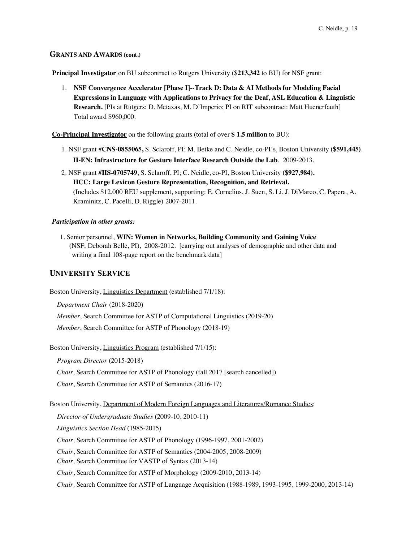# **GRANTS AND AWARDS (cont.)**

**Principal Investigator** on BU subcontract to Rutgers University (\$**213,342** to BU) for NSF grant:

1. **NSF Convergence Accelerator [Phase I]--Track D: Data & AI Methods for Modeling Facial Expressions in Language with Applications to Privacy for the Deaf, ASL Education & Linguistic Research.** [PIs at Rutgers: D. Metaxas, M. D'Imperio; PI on RIT subcontract: Matt Huenerfauth] Total award \$960,000.

**Co-Principal Investigator** on the following grants (total of over **\$ 1.5 million** to BU):

- 1. NSF grant #**CNS-0855065,** S. Sclaroff, PI; M. Betke and C. Neidle, co-PI's, Boston University **(\$591,445)**. **II-EN: Infrastructure for Gesture Interface Research Outside the Lab**. 2009-2013.
- 2. NSF grant **#IIS-0705749**, S. Sclaroff, PI; C. Neidle, co-PI, Boston University **(\$927,984). HCC: Large Lexicon Gesture Representation, Recognition, and Retrieval.**  (Includes \$12,000 REU supplement, supporting: E. Cornelius, J. Suen, S. Li, J. DiMarco, C. Papera, A. Kraminitz, C. Pacelli, D. Riggle) 2007-2011.

### *Participation in other grants:*

1. Senior personnel, **WIN: Women in Networks, Building Community and Gaining Voice** (NSF; Deborah Belle, PI), 2008-2012. [carrying out analyses of demographic and other data and writing a final 108-page report on the benchmark data]

## **UNIVERSITY SERVICE**

Boston University, Linguistics Department (established 7/1/18):

*Department Chair* (2018-2020)

*Member*, Search Committee for ASTP of Computational Linguistics (2019-20)

*Member*, Search Committee for ASTP of Phonology (2018-19)

Boston University, Linguistics Program (established 7/1/15):

*Program Director* (2015-2018)

*Chair,* Search Committee for ASTP of Phonology (fall 2017 [search cancelled])

*Chair*, Search Committee for ASTP of Semantics (2016-17)

Boston University, Department of Modern Foreign Languages and Literatures/Romance Studies:

*Director of Undergraduate Studies* (2009-10, 2010-11) *Linguistics Section Head* (1985-2015) *Chair,* Search Committee for ASTP of Phonology (1996-1997, 2001-2002) *Chair*, Search Committee for ASTP of Semantics (2004-2005, 2008-2009) *Chair,* Search Committee for VASTP of Syntax (2013-14) *Chair*, Search Committee for ASTP of Morphology (2009-2010, 2013-14) *Chair,* Search Committee for ASTP of Language Acquisition (1988-1989, 1993-1995, 1999-2000, 2013-14)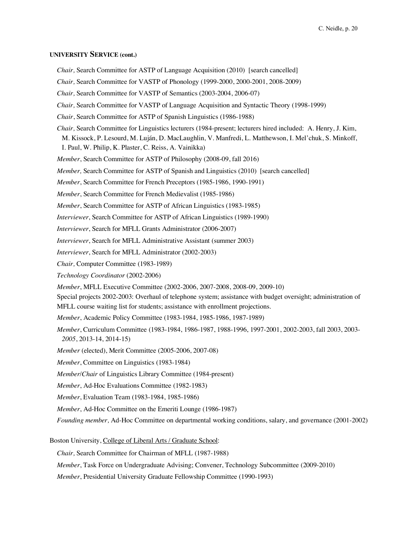## **UNIVERSITY SERVICE (cont.)**

*Chair,* Search Committee for ASTP of Language Acquisition (2010) [search cancelled]

*Chair,* Search Committee for VASTP of Phonology (1999-2000, 2000-2001, 2008-2009)

*Chair,* Search Committee for VASTP of Semantics (2003-2004, 2006-07)

*Chair,* Search Committee for VASTP of Language Acquisition and Syntactic Theory (1998-1999)

*Chair*, Search Committee for ASTP of Spanish Linguistics (1986-1988)

*Chair,* Search Committee for Linguistics lecturers (1984-present; lecturers hired included: A. Henry, J. Kim,

M. Kissock, P. Lesourd, M. Luján, D. MacLaughlin, V. Manfredi, L. Matthewson, I. Mel'chuk, S. Minkoff, I. Paul, W. Philip, K. Plaster, C. Reiss, A. Vainikka)

*Member*, Search Committee for ASTP of Philosophy (2008-09, fall 2016)

*Member,* Search Committee for ASTP of Spanish and Linguistics (2010) [search cancelled]

*Member*, Search Committee for French Preceptors (1985-1986, 1990-1991)

*Member*, Search Committee for French Medievalist (1985-1986)

*Member*, Search Committee for ASTP of African Linguistics (1983-1985)

*Interviewer*, Search Committee for ASTP of African Linguistics (1989-1990)

*Interviewer*, Search for MFLL Grants Administrator (2006-2007)

*Interviewer*, Search for MFLL Administrative Assistant (summer 2003)

*Interviewer*, Search for MFLL Administrator (2002-2003)

*Chair,* Computer Committee (1983-1989)

*Technology Coordinator* (2002-2006)

*Member*, MFLL Executive Committee (2002-2006, 2007-2008, 2008-09, 2009-10)

Special projects 2002-2003: Overhaul of telephone system; assistance with budget oversight; administration of MFLL course waiting list for students; assistance with enrollment projections.

*Member*, Academic Policy Committee (1983-1984, 1985-1986, 1987-1989)

*Member*, Curriculum Committee (1983-1984, 1986-1987, 1988-1996, 1997-2001, 2002-2003, fall 2003, 2003- *2005*, 2013-14, 2014-15)

*Member* (elected), Merit Committee (2005-2006, 2007-08)

*Member*, Committee on Linguistics (1983-1984)

*Member*/*Chair* of Linguistics Library Committee (1984-present)

*Member*, Ad-Hoc Evaluations Committee (1982-1983)

*Member*, Evaluation Team (1983-1984, 1985-1986)

*Member*, Ad-Hoc Committee on the Emeriti Lounge (1986-1987)

*Founding member,* Ad-Hoc Committee on departmental working conditions, salary, and governance (2001-2002)

Boston University, College of Liberal Arts / Graduate School:

*Chair,* Search Committee for Chairman of MFLL (1987-1988)

*Member*, Task Force on Undergraduate Advising; Convener, Technology Subcommittee (2009-2010)

*Member*, Presidential University Graduate Fellowship Committee (1990-1993)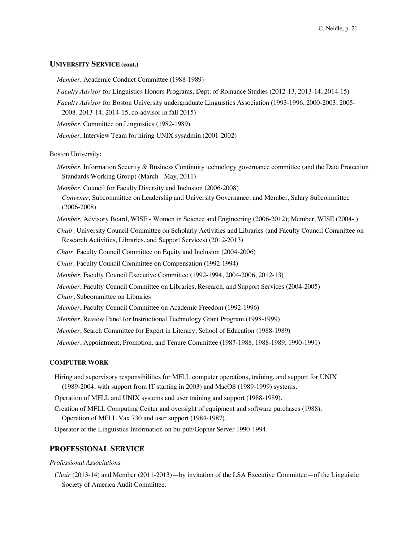# **UNIVERSITY SERVICE (cont.)**

*Member*, Academic Conduct Committee (1988-1989)

- *Faculty Advisor* for Linguistics Honors Programs, Dept. of Romance Studies (2012-13, 2013-14, 2014-15)
- *Faculty Advisor* for Boston University undergraduate Linguistics Association (1993-1996, 2000-2003, 2005- 2008, 2013-14, 2014-15, co-advisor in fall 2015)

*Member*, Committee on Linguistics (1982-1989)

*Member*, Interview Team for hiring UNIX sysadmin (2001-2002)

### **Boston University:**

- *Member*, Information Security & Business Continuity technology governance committee (and the Data Protection Standards Working Group) (March - May, 2011)
- *Member*, Council for Faculty Diversity and Inclusion (2006-2008) *Convener*, Subcommittee on Leadership and University Governance; and Member, Salary Subcommittee (2006-2008)
- *Member*, Advisory Board, WISE Women in Science and Engineering (2006-2012); Member, WISE (2004- )

*Chair,* University Council Committee on Scholarly Activities and Libraries (and Faculty Council Committee on Research Activities, Libraries, and Support Services) (2012-2013)

*Chair,* Faculty Council Committee on Equity and Inclusion (2004-2006)

*Chair,* Faculty Council Committee on Compensation (1992-1994)

*Member*, Faculty Council Executive Committee (1992-1994, 2004-2006, 2012-13)

*Member*, Faculty Council Committee on Libraries, Research, and Support Services (2004-2005)

*Chair*, Subcommittee on Libraries

*Member*, Faculty Council Committee on Academic Freedom (1992-1996)

*Member*, Review Panel for Instructional Technology Grant Program (1998-1999)

*Member*, Search Committee for Expert in Literacy, School of Education (1988-1989)

*Member*, Appointment, Promotion, and Tenure Committee (1987-1988, 1988-1989, 1990-1991)

## **COMPUTER WORK**

Hiring and supervisory responsibilities for MFLL computer operations, training, and support for UNIX (1989-2004, with support from IT starting in 2003) and MacOS (1989-1999) systems.

Operation of MFLL and UNIX systems and user training and support (1988-1989).

Creation of MFLL Computing Center and oversight of equipment and software purchases (1988). Operation of MFLL Vax 730 and user support (1984-1987).

Operator of the Linguistics Information on bu-pub/Gopher Server 1990-1994.

## **PROFESSIONAL SERVICE**

#### *Professional Associations*

*Chair* (2013-14) and Member (2011-2013)—by invitation of the LSA Executive Committee—of the Linguistic Society of America Audit Committee.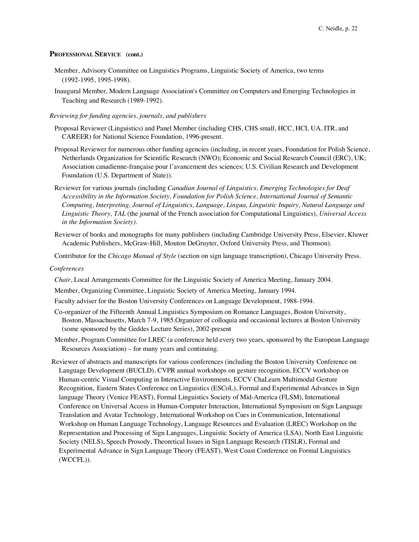### **PROFESSIONAL SERVICE (cont.)**

- Member, Advisory Committee on Linguistics Programs, Linguistic Society of America, two terms (1992-1995, 1995-1998).
- Inaugural Member, Modern Language Association's Committee on Computers and Emerging Technologies in Teaching and Research (1989-1992).

### *Reviewing for funding agencies, journals, and publishers*

- Proposal Reviewer (Linguistics) and Panel Member (including CHS, CHS small, HCC, HCI, UA, ITR, and CAREER) for National Science Foundation, 1996-present.
- Proposal Reviewer for numerous other funding agencies (including, in recent years, Foundation for Polish Science, Netherlands Organization for Scientific Research (NWO); Economic and Social Research Council (ERC), UK; Association canadienne-française pour l'avancement des sciences; U.S. Civilian Research and Development Foundation (U.S. Department of State)).
- Reviewer for various journals (including *Canadian Journal of Linguistics, Emerging Technologies for Deaf Accessibility in the Information Society, Foundation for Polish Science, International Journal of Semantic Computing, Interpreting, Journal of Linguistics, Language, Lingua, Linguistic Inquiry, Natural Language and Linguistic Theory, TAL* (the journal of the French association for Computational Linguistics), *Universal Access in the Information Society)*.
- Reviewer of books and monographs for many publishers (including Cambridge University Press, Elsevier, Kluwer Academic Publishers, McGraw-Hill, Mouton DeGruyter, Oxford University Press, and Thomson).

Contributor for the *Chicago Manual of Style* (section on sign language transcription), Chicago University Press.

#### *Conferences*

- *Chair*, Local Arrangements Committee for the Linguistic Society of America Meeting, January 2004.
- Member, Organizing Committee, Linguistic Society of America Meeting, January 1994.
- Faculty adviser for the Boston University Conferences on Language Development, 1988-1994.
- Co-organizer of the Fifteenth Annual Linguistics Symposium on Romance Languages, Boston University, Boston, Massachusetts, March 7-9, 1985.Organizer of colloquia and occasional lectures at Boston University (some sponsored by the Geddes Lecture Series), 2002-present
- Member, Program Committee for LREC (a conference held every two years, sponsored by the European Language Resources Association) – for many years and continuing.
- Reviewer of abstracts and manuscripts for various conferences (including the Boston University Conference on Language Development (BUCLD), CVPR annual workshops on gesture recognition, ECCV workshop on Human-centric Visual Computing in Interactive Environments, ECCV ChaLearn Multimodal Gesture Recognition, Eastern States Conference on Linguistics (ESCoL), Formal and Experimental Advances in Sign language Theory (Venice FEAST), Formal Linguistics Society of Mid-America (FLSM), International Conference on Universal Access in Human-Computer Interaction, International Symposium on Sign Language Translation and Avatar Technology, International Workshop on Cues in Communication, International Workshop on Human Language Technology, Language Resources and Evaluation (LREC) Workshop on the Representation and Processing of Sign Languages, Linguistic Society of America (LSA), North East Linguistic Society (NELS), Speech Prosody, Theoretical Issues in Sign Language Research (TISLR), Formal and Experimental Advance in Sign Language Theory (FEAST), West Coast Conference on Formal Linguistics (WCCFL)).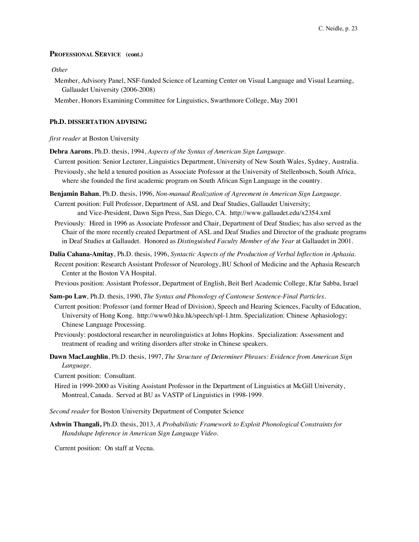## **PROFESSIONAL SERVICE (cont.)**

#### *Other*

Member, Advisory Panel, NSF-funded Science of Learning Center on Visual Language and Visual Learning, Gallaudet University (2006-2008)

Member, Honors Examining Committee for Linguistics, Swarthmore College, May 2001

#### **Ph.D. DISSERTATION ADVISING**

#### *first reader* at Boston University

- **Debra Aarons**, Ph.D. thesis, 1994, *Aspects of the Syntax of American Sign Language.*
- Current position: Senior Lecturer, Linguistics Department, University of New South Wales, Sydney, Australia.
- Previously, she held a tenured position as Associate Professor at the University of Stellenbosch, South Africa, where she founded the first academic program on South African Sign Language in the country.
- **Benjamin Bahan**, Ph.D. thesis, 1996, *Non-manual Realization of Agreement in American Sign Language.*
- Current position: Full Professor, Department of ASL and Deaf Studies, Gallaudet University; and Vice-President, Dawn Sign Press, San Diego, CA. http://www.gallaudet.edu/x2354.xml
- Previously: Hired in 1996 as Associate Professor and Chair, Department of Deaf Studies; has also served as the Chair of the more recently created Department of ASL and Deaf Studies and Director of the graduate programs in Deaf Studies at Gallaudet. Honored as *Distinguished Faculty Member of the Year* at Gallaudet in 2001.
- **Dalia Cahana-Amitay**, Ph.D. thesis, 1996, *Syntactic Aspects of the Production of Verbal Inflection in Aphasia.*
- Recent position: Research Assistant Professor of Neurology, BU School of Medicine and the Aphasia Research Center at the Boston VA Hospital.

Previous position: Assistant Professor, Department of English, Beit Berl Academic College, Kfar Sabba, Israel

- **Sam-po Law**, Ph.D. thesis, 1990, *The Syntax and Phonology of Cantonese Sentence-Final Particles.*
- Current position: Professor (and former Head of Division), Speech and Hearing Sciences, Faculty of Education, University of Hong Kong. http://www0.hku.hk/speech/spl-1.htm. Specialization: Chinese Aphasiology; Chinese Language Processing.
- Previously: postdoctoral researcher in neurolinguistics at Johns Hopkins. Specialization: Assessment and treatment of reading and writing disorders after stroke in Chinese speakers.
- **Dawn MacLaughlin**, Ph.D. thesis, 1997, *The Structure of Determiner Phrases: Evidence from American Sign Language.*

Current position: Consultant.

Hired in 1999-2000 as Visiting Assistant Professor in the Department of Linguistics at McGill University, Montreal, Canada. Served at BU as VASTP of Linguistics in 1998-1999.

*Second reader* for Boston University Department of Computer Science

**Ashwin Thangali,** Ph.D. thesis, 2013, *A Probabilistic Framework to Exploit Phonological Constraints for Handshape Inference in American Sign Language Video.*

Current position: On staff at Vecna.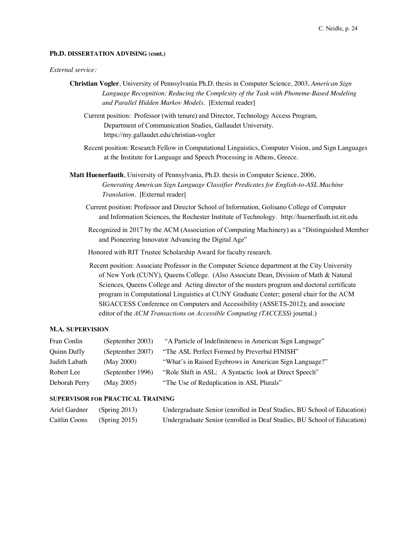### **Ph.D. DISSERTATION ADVISING (cont.)**

#### *External service:*

- **Christian Vogler**, University of Pennsylvania Ph.D. thesis in Computer Science, 2003, *American Sign Language Recognition: Reducing the Complexity of the Task with Phoneme-Based Modeling and Parallel Hidden Markov Models.* [External reader]
	- Current position: Professor (with tenure) and Director, Technology Access Program, Department of Communication Studies, Gallaudet University. https://my.gallaudet.edu/christian-vogler
	- Recent position: Research Fellow in Computational Linguistics, Computer Vision, and Sign Languages at the Institute for Language and Speech Processing in Athens, Greece.
- **Matt Huenerfauth**, University of Pennsylvania, Ph.D. thesis in Computer Science, 2006, *Generating American Sign Language Classifier Predicates for English-to-ASL Machine Translation.* [External reader]
	- Current position: Professor and Director School of Information, Golisano College of Computer and Information Sciences, the Rochester Institute of Technology. http://huenerfauth.ist.rit.edu
	- Recognized in 2017 by the ACM (Association of Computing Machinery) as a "Distinguished Member and Pioneering Innovator Advancing the Digital Age"
	- Honored with RIT Trustee Scholarship Award for faculty research.
	- Recent position: Associate Professor in the Computer Science department at the City University of New York (CUNY), Queens College. (Also Associate Dean, Division of Math & Natural Sciences, Queens College and Acting director of the masters program and doctoral certificate program in Computational Linguistics at CUNY Graduate Center; general chair for the ACM SIGACCESS Conference on Computers and Accessibility (ASSETS-2012); and associate editor of the *ACM Transactions on Accessible Computing (TACCESS)* journal.)

# **M.A. SUPERVISION**

| Fran Conlin   | (September 2003) | "A Particle of Indefiniteness in American Sign Language" |
|---------------|------------------|----------------------------------------------------------|
| Quinn Duffy   | (September 2007) | "The ASL Perfect Formed by Preverbal FINISH"             |
| Judith Labath | (May 2000)       | "What's in Raised Eyebrows in American Sign Language?"   |
| Robert Lee    | (September 1996) | "Role Shift in ASL: A Syntactic look at Direct Speech"   |
| Deborah Perry | (May 2005)       | "The Use of Reduplication in ASL Plurals"                |

## **SUPERVISOR FOR PRACTICAL TRAINING**

| Ariel Gardner | (Spring 2013) | Undergraduate Senior (enrolled in Deaf Studies, BU School of Education) |
|---------------|---------------|-------------------------------------------------------------------------|
| Caitlin Coons | (Spring 2015) | Undergraduate Senior (enrolled in Deaf Studies, BU School of Education) |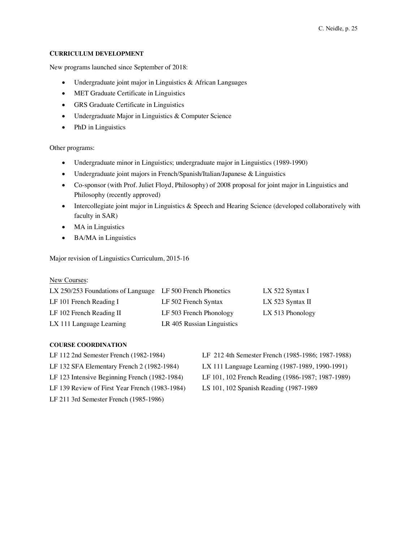### **CURRICULUM DEVELOPMENT**

New programs launched since September of 2018:

- Undergraduate joint major in Linguistics & African Languages
- MET Graduate Certificate in Linguistics
- GRS Graduate Certificate in Linguistics
- Undergraduate Major in Linguistics & Computer Science
- PhD in Linguistics

Other programs:

- Undergraduate minor in Linguistics; undergraduate major in Linguistics (1989-1990)
- Undergraduate joint majors in French/Spanish/Italian/Japanese & Linguistics
- Co-sponsor (with Prof. Juliet Floyd, Philosophy) of 2008 proposal for joint major in Linguistics and Philosophy (recently approved)
- Intercollegiate joint major in Linguistics & Speech and Hearing Science (developed collaboratively with faculty in SAR)
- MA in Linguistics
- BA/MA in Linguistics

Major revision of Linguistics Curriculum, 2015-16

#### New Courses:

| LX 250/253 Foundations of Language LF 500 French Phonetics |                            | LX 522 Syntax I  |
|------------------------------------------------------------|----------------------------|------------------|
| LF 101 French Reading I                                    | LF 502 French Syntax       | LX 523 Syntax II |
| LF 102 French Reading II                                   | LF 503 French Phonology    | LX 513 Phonology |
| LX 111 Language Learning                                   | LR 405 Russian Linguistics |                  |

### **COURSE COORDINATION**

- LF 112 2nd Semester French (1982-1984) LF 132 SFA Elementary French 2 (1982-1984) LF 123 Intensive Beginning French (1982-1984) LF 139 Review of First Year French (1983-1984)
- LF 211 3rd Semester French (1985-1986)

LF 212 4th Semester French (1985-1986; 1987-1988) LX 111 Language Learning (1987-1989, 1990-1991) LF 101, 102 French Reading (1986-1987; 1987-1989) LS 101, 102 Spanish Reading (1987-1989